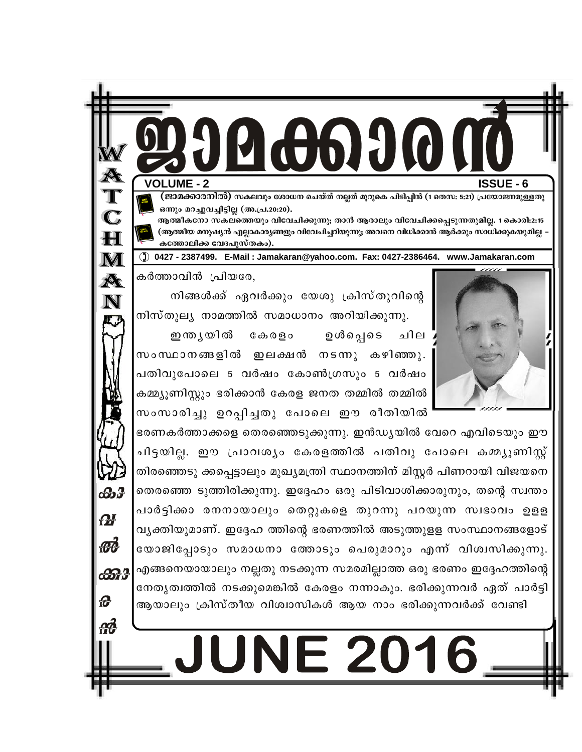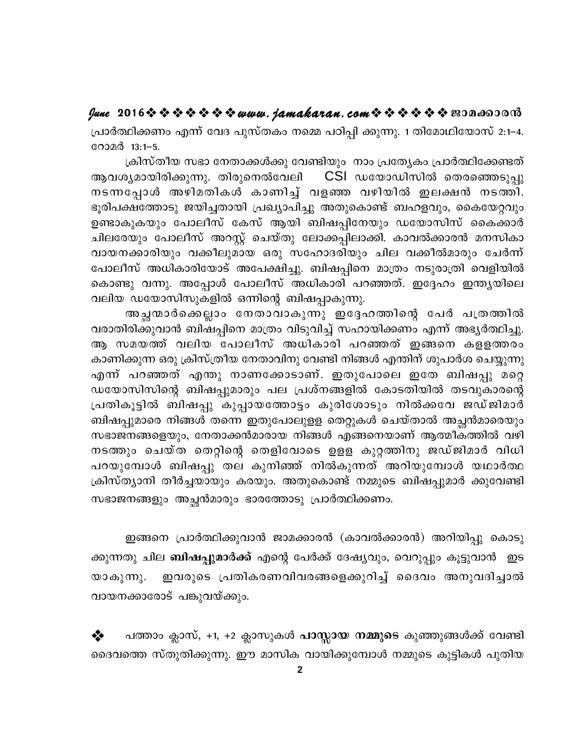fune 2016 \* \* \* \* \* \* \* www.jamakaran.com \* \* \* \* \* \* \* 2010 0000

പ്രാർത്ഥിക്കണം എന്ന് വേദ പുസ്തകം നമ്മെ പഠിപ്പി ക്കുന്നു. 1 തിമോഥിയോസ് 2:1–4. റോമർ 13:1-5.

ക്രിസ്തീയ സഭാ നേതാക്കൾക്കു വേണ്ടിയും നാം പ്രത്യേകം പ്രാർത്ഥിക്കേണ്ടത് CSI ഡയോഡിസിൽ തെരഞ്ഞെടുപ്പു ആവശ്യമായിരിക്കുന്നു. തിരുനെൽവേലി നടന്നപ്പോൾ അഴിമതികൾ കാണിച്ച് വളഞ്ഞ വഴിയിൽ ഇലക്ഷൻ നടത്തി. ഭൂരിപക്ഷത്തോടു ജയിച്ചതായി പ്രഖ്യാപിച്ചു അതുകൊണ്ട് ബഹളവും, കൈയേറ്റവും ഉണ്ടാകുകയും പോലീസ് കേസ് ആയി ബിഷപ്പിനേയും ഡയോസിസ് കൈക്കാർ ചിലരേയും പോലീസ് അറസ്റ്റ് ചെയ്തു ലോക്കപ്പിലാക്കി. കാവൽക്കാരൻ മനസികാ വായനക്കാരിയും വക്കീലുമായ ഒരു സഹോദരിയും ചില വക്കീൽമാരും ചേർന്ന് പോലീസ് അധികാരിയോട് അപേക്ഷിച്ചു. ബിഷപ്പിനെ മാത്രം നടുരാത്രി വെളിയിൽ കൊണ്ടു വന്നു. അപ്പോൾ പോലീസ് അധികാരി പറഞ്ഞത്. ഇദ്ദേഹം ഇന്ത്യയിലെ വലിയ ഡയോസിസുകളിൽ ഒന്നിന്റെ ബിഷപ്പാകുന്നു.

അച്ഛന്മാർക്കെല്ലാം നേതാവാകുന്നു ഇദ്ദേഹത്തിന്റെ പേർ പത്രത്തിൽ വരാതിരിക്കുവാൻ ബിഷപ്പിനെ മാത്രം വിടുവിച്ച് സഹായിക്കണം എന്ന് അഭ്യർത്ഥിച്ചു. ആ സമയത്ത് വലിയ പോലീസ് അധികാരി പറഞ്ഞത് ഇങ്ങനെ കളളത്തരം കാണിക്കുന്ന ഒരു ക്രിസ്ത്രീയ നേതാവിനു വേണ്ടി നിങ്ങൾ എന്തിന് ശുപാർശ ചെയ്യുന്നു എന്ന് പറഞ്ഞത് എന്തു നാണക്കോടാണ്. ഇതുപോലെ ഇതേ ബിഷപ്പു മറ്റെ ഡയോസിസിന്റെ ബിഷപ്പുമാരും പല പ്രശ്നങ്ങളിൽ കോടതിയിൽ തടവുകാരന്റെ പ്രതികൂട്ടിൽ ബിഷപ്പു കുപ്പായത്തോട്ടം കുരിശോടും നിൽക്കവേ ജഡ്ജിമാർ ബിഷപ്പുമാരെ നിങ്ങൾ തന്നെ ഇതുപോലുളള തെറ്റുകൾ ചെയ്താൽ അച്ഛൻമാരെയും സഭാജനങ്ങളെയും, നേതാക്കൻമാരായ നിങ്ങൾ എങ്ങനെയാണ് ആത്മീക്ത്തിൽ വഴി നടത്തും ചെയ്ത തെറ്റിന്റെ തെളിവോടെ ഉളള കുറ്റത്തിനു ജഡ്ജിമാർ വിധി പറയുമ്പോൾ ബിഷപ്പു തല കുനിഞ്ഞ് നിൽകുന്നത് അറിയുമ്പോൾ യഥാർത്ഥ ക്രിസ്ത്യാനി തീർച്ചയായും കരയും. അതുകൊണ്ട് നമ്മുടെ ബിഷപ്പുമാർ ക്കുവേണ്ടി സഭാജനങ്ങളും അച്ഛൻമാരും ഭാരത്തോടു പ്രാർത്ഥിക്കണം.

ഇങ്ങനെ പ്രാർത്ഥിക്കുവാൻ ജാമക്കാരൻ (കാവൽക്കാരൻ) അറിയിപ്പു കൊടു ക്കുന്നതു ചില **ബിഷപ്പുമാർക്ക്** എന്റെ പേർക്ക് ദേഷ്യവും, വെറുപ്പും കൂട്ടുവാൻ ഇട ഇവരുടെ പ്രതികരണവിവരങ്ങളെക്കുറിച്ച് ദൈവം അനുവദിച്ചാൽ യാകുന്നു. വായനക്കാരോട് പങ്കുവയ്ക്കും.

പത്താം ക്ലാസ്, +1, +2 ക്ലാസുകൾ **പാസ്സായ നമ്മുടെ** കുഞ്ഞുങ്ങൾക്ക് വേണ്ടി ❖ ദൈവത്തെ സ്തുതിക്കുന്നു. ഈ മാസിക വായിക്കുമ്പോൾ നമ്മുടെ കുട്ടികൾ പുതിയ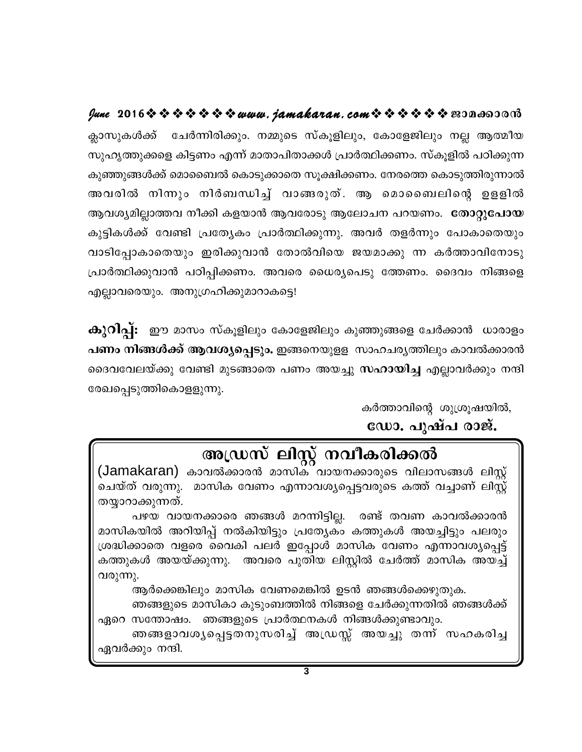June 2016☆☆☆☆☆☆☆www.jamakaran.com☆☆☆☆☆☆☆ 2010co000 ക്ലാസുകൾക്ക് ചേർന്നിരിക്കും. നമ്മുടെ സ്കൂളിലും, കോളേജിലും നല്ല ആത്മീയ സുഹൃത്തുക്കളെ കിട്ടണം എന്ന് മാതാപിതാക്കൾ പ്രാർത്ഥിക്കണം. സ്കൂളിൽ പഠിക്കുന്ന കുഞ്ഞുങ്ങൾക്ക് മൊബൈൽ കൊടുക്കാതെ സൂക്ഷിക്കണം. നേരത്തെ കൊടുത്തിരുന്നാൽ അവരിൽ നിന്നും നിർബന്ധിച്ച് വാങ്ങരുത്. ആ മൊബൈലിന്റെ ഉളളിൽ ആവശ്യമില്ലാത്തവ നീക്കി കളയാൻ ആവരോടു ആലോചന പറയണം. **തോറ്റുപോയ** കുട്ടികൾക്ക് വേണ്ടി പ്രത്യേകം പ്രാർത്ഥിക്കുന്നു. അവർ തളർന്നും പോകാതെയും വാടിപ്പോകാതെയും ഇരിക്കുവാൻ തോൽവിയെ ജയമാക്കു ന്ന കർത്താവിനോടു പ്രാർത്ഥിക്കുവാൻ പഠിപ്പിക്കണം. അവരെ ധൈര്യപെടു ത്തേണം. ദൈവം നിങ്ങളെ എല്ലാവരെയും. അനുഗ്രഹിക്കുമാറാകട്ടെ!

കുറിപ്പ്: ഈ മാസം സ്കൂളിലും കോളേജിലും കുഞ്ഞുങ്ങളെ ചേർക്കാൻ ധാരാളം പണം നിങ്ങൾക്ക് ആവശ്യപ്പെടും. ഇങ്ങനെയുളള സാഹചര്യത്തിലും കാവൽക്കാരൻ ദൈവവേലയ്ക്കു വേണ്ടി മുടങ്ങാതെ പണം അയച്ചു **സഹായിച്ച** എല്ലാവർക്കും നന്ദി രേഖപ്പെടുത്തികൊളളുന്നു.

കർത്താവിന്റെ ശുശ്രൂഷയിൽ,

ഡോ. പുഷ്പ രാജ്.

# അഡ്രസ് ലിസ്റ്റ് നവീകരിക്കൽ

(Jamakaran) കാവൽക്കാരൻ മാസിക് വായനക്കാരുടെ വിലാസങ്ങൾ ലിസ്റ്റ് ചെയ്ത് വരുന്നു. മാസിക വേണം എന്നാവശ്യപ്പെട്ടവരുടെ കത്ത് വച്ചാണ് ലിസ്റ്റ് തയ്യാറാക്കുന്നത്.

പഴയ വായനക്കാരെ ഞങ്ങൾ മറന്നിട്ടില്ല. രണ്ട് തവണ കാവൽക്കാരൻ മാസികയിൽ അറിയിപ്പ് നൽകിയിട്ടും പ്രത്യേകം കത്തുകൾ അയച്ചിട്ടും പലരും ശ്രദ്ധിക്കാതെ വളരെ വൈകി പലർ ഇപ്പോൾ മാസിക വേണം എന്നാവശ്യപ്പെട്ട് കത്തുകൾ അയയ്ക്കുന്നു. അവരെ പുതിയ ലിസ്റ്റിൽ ചേർത്ത് മാസിക അയച്ച് വരുന്നു.

ആർക്കെങ്കിലും മാസിക വേണമെങ്കിൽ ഉടൻ ഞങ്ങൾക്കെഴുതുക.

ഞങ്ങളുടെ മാസികാ കുടുംബത്തിൽ നിങ്ങളെ ചേർക്കുന്നതിൽ ഞങ്ങൾക്ക് ഏറെ സന്തോഷം. ഞങ്ങളുടെ പ്രാർത്ഥനകൾ നിങ്ങൾക്കുണ്ടാവും.

ഞങ്ങളാവശ്യപ്പെട്ടതനുസരിച്ച് അഡ്രസ്സ് അയച്ചു തന്ന് സഹകരിച്ച ഏവർക്കും നന്ദി.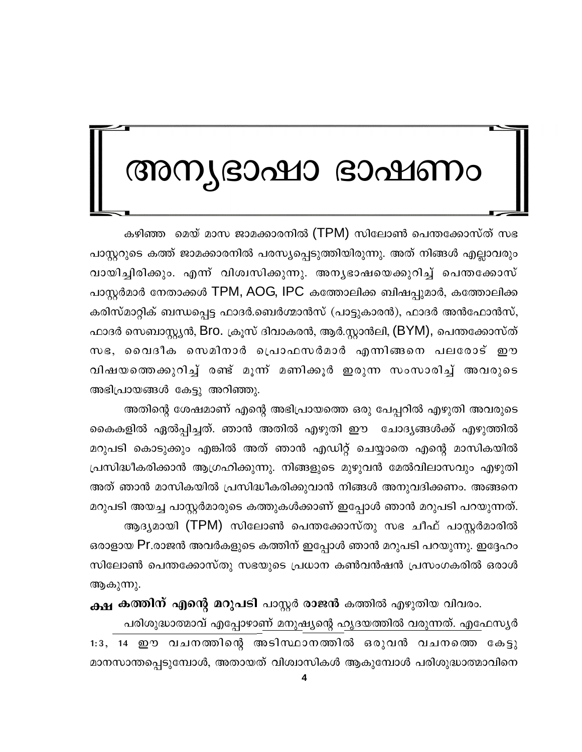# അന്യഭാഷാ ഭാഷണം

കഴിഞ്ഞ മെയ് മാസ ജാമക്കാരനിൽ (TPM) സിലോൺ പെന്തക്കോസ്ത് സഭ പാസ്റ്ററുടെ കത്ത് ജാമക്കാരനിൽ പരസ്യപ്പെടുത്തിയിരുന്നു. അത് നിങ്ങൾ എല്ലാവരും വായിച്ചിരിക്കും. എന്ന് വിശ്വസിക്കുന്നു. അനൃഭാഷയെക്കുറിച്ച് പെന്തക്കോസ് പാസ്റ്റർമാർ നേതാക്കൾ TPM, AOG, IPC കത്തോലിക്ക ബിഷപ്പുമാർ, കത്തോലിക്ക കരിസ്മാറ്റിക് ബന്ധപ്പെട്ട ഫാദർ.ബെർഗ്മാൻസ് (പാട്ടുകാരൻ), ഫാദർ അൻഫോൻസ്, ഫാദർ സെബാസ്റ്റ്യൻ, Bro. ക്രൂസ് ദിവാകരൻ, ആർ.സ്റ്റാൻലി, (BYM), പെന്തക്കോസ്ത് സഭ, വൈദീക സെമിനാർ പ്രൊഫസർമാർ എന്നിങ്ങനെ പലരോട് ഈ വിഷയത്തെക്കുറിച്ച് രണ്ട് മൂന്ന് മണിക്കൂർ ഇരുന്ന സംസാരിച്ച് അവരുടെ അഭിപ്രായങ്ങൾ കേട്ടു അറിഞ്ഞു.

അതിന്റെ ശേഷമാണ് എന്റെ അഭിപ്രായത്തെ ഒരു പേപ്പറിൽ എഴുതി അവരുടെ കൈകളിൽ ഏൽപ്പിച്ചത്. ഞാൻ അതിൽ എഴുതി ഈ ചോദ്യങ്ങൾക്ക് എഴുത്തിൽ മറുപടി കൊടുക്കും എങ്കിൽ അത് ഞാൻ എഡിറ്റ് ചെയ്യാതെ എന്റെ മാസികയിൽ പ്രസിദ്ധീകരിക്കാൻ ആഗ്രഹിക്കുന്നു. നിങ്ങളുടെ മുഴുവൻ മേൽവിലാസവും എഴുതി അത് ഞാൻ മാസികയിൽ പ്രസിദ്ധീകരിക്കുവാൻ നിങ്ങൾ അനുവദിക്കണം. അങ്ങനെ മറുപടി അയച്ച പാസ്റ്റർമാരുടെ കത്തുകൾക്കാണ് ഇപ്പോൾ ഞാൻ മറുപടി പറയുന്നത്. ആദ്യമായി (TPM) സിലോൺ പെന്തക്കോസ്തു സഭ ചീഫ് പാസ്റ്റർമാരിൽ ഒരാളായ Pr.രാജൻ അവർകളുടെ കത്തിന് ഇപ്പോൾ ഞാൻ മറുപടി പറയുന്നു. ഇദ്ദേഹം സിലോൺ പെന്തക്കോസ്തു സഭയുടെ പ്രധാന കൺവൻഷൻ പ്രസംഗകരിൽ ഒരാൾ ആകുന്നു.

ക്ഷ കത്തിന് എന്റെ മറുപടി പാസ്റ്റർ രാജൻ കത്തിൽ എഴുതിയ വിവരം. പരിശുദ്ധാത്മാവ് എപ്പോഴാണ് മനുഷ്യന്റെ ഹൃദയത്തിൽ വരുന്നത്. എഫേസ്യർ

1:3, 14 ഈ വചനത്തിന്റെ അടിസ്ഥാനത്തിൽ ഒരുവൻ വചനത്തെ കേട്ടു മാനസാന്തപ്പെടുമ്പോൾ, അതായത് വിശ്വാസികൾ ആകുമ്പോൾ പരിശുദ്ധാത്മാവിനെ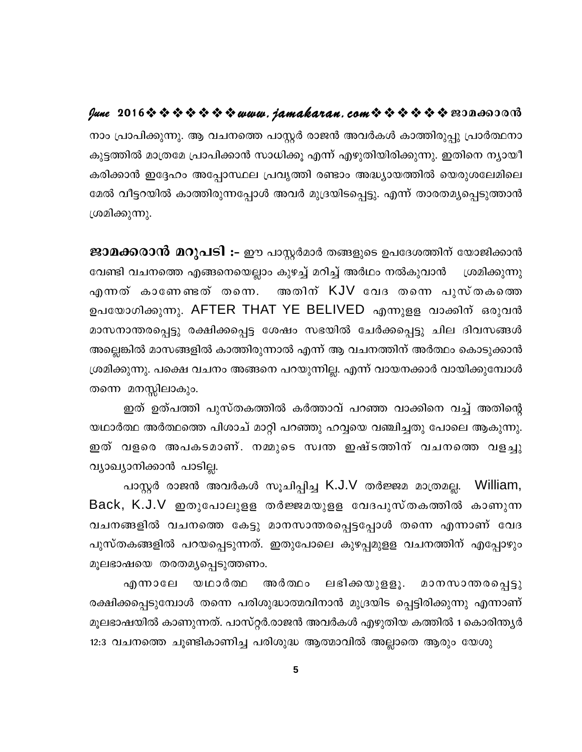### 

നാം പ്രാപിക്കുന്നു. ആ വചനത്തെ പാസ്റ്റർ രാജൻ അവർകൾ കാത്തിരുപ്പു പ്രാർത്ഥനാ കുട്ടത്തിൽ മാത്രമേ പ്രാപിക്കാൻ സാധിക്കൂ എന്ന് എഴുതിയിരിക്കുന്നു. ഇതിനെ ന്യായീ കരിക്കാൻ ഇദ്ദേഹം അപ്പോസ്ഥല പ്രവൃത്തി രണ്ടാം അദ്ധ്യായത്തിൽ യെരുശലേമിലെ മേൽ വീട്ടറയിൽ കാത്തിരുന്നപ്പോൾ അവർ മുദ്രയിടപ്പെട്ടു. എന്ന് താരതമ്യപ്പെടുത്താൻ ശ്രമിക്കുന്നു.

ജാമക്കരാൻ മറുപടി :- ഈ പാസ്റ്റർമാർ തങ്ങളുടെ ഉപദേശത്തിന് യോജിക്കാൻ വേണ്ടി വചനത്തെ എങ്ങനെയെല്ലാം കുഴച്ച് മറിച്ച് അർഥം നൽകുവാൻ ശ്രമിക്കുന്നു അതിന് KJV വേദ തന്നെ പുസ്തകത്തെ എന്നത് കാണേണ്ടത് തന്നെ. ഉപയോഗിക്കുന്നു. AFTER THAT YE BELIVED എന്നുളള വാക്കിന് ഒരുവൻ മാസനാന്തരപ്പെട്ടു രക്ഷിക്കപ്പെട്ട ശേഷം സഭയിൽ ചേർക്കപ്പെട്ടു ചില ദിവസങ്ങൾ അല്ലെങ്കിൽ മാസങ്ങളിൽ കാത്തിരുന്നാൽ എന്ന് ആ വചനത്തിന് അർത്ഥം കൊടുക്കാൻ ശ്രമിക്കുന്നു. പക്ഷെ വചനം അങ്ങനെ പറയുന്നില്ല. എന്ന് വായനക്കാർ വായിക്കുമ്പോൾ തന്നെ മനസ്സിലാകും.

ഇത് ഉത്പത്തി പുസ്തകത്തിൽ കർത്താവ് പറഞ്ഞ വാക്കിനെ വച്ച് അതിന്റെ യഥാർത്ഥ അർത്ഥത്തെ പിശാച് മാറ്റി പറഞ്ഞു ഹവ്വയെ വഞ്ചിച്ചതു പോലെ ആകുന്നു. ഇത് വളരെ അപകടമാണ്. നമ്മുടെ സ്വന്ത ഇഷ്ടത്തിന് വചനത്തെ വളച്ചു വ്യാഖ്യാനിക്കാൻ പാടില്ല.

പാസ്റ്റർ രാജൻ അവർകൾ സൂചിപ്പിച്ച K.J.V തർജ്ജമ മാത്രമല്ല. William, Back, K.J.V ഇതുപോലുളള തർജ്ജമയുളള വേദപുസ്തകത്തിൽ കാണുന്ന വചനങ്ങളിൽ വചനത്തെ കേട്ടു മാനസാന്തരപ്പെട്ടപ്പോൾ തന്നെ എന്നാണ് വേദ പുസ്തകങ്ങളിൽ പറയപ്പെടുന്നത്. ഇതുപോലെ കുഴപ്പമുളള വചനത്തിന് എപ്പോഴും മൂലഭാഷയെ തരതമൃപ്പെടുത്തണം.

ലഭിക്കയുളളൂ. മാനസാന്തരപ്പെട്ടു എന്നാലേ യഥാർത്ഥ അർത്ഥം രക്ഷിക്കപ്പെടുമ്പോൾ തന്നെ പരിശുദ്ധാത്മവിനാൻ മുദ്രയിട പ്പെട്ടിരിക്കുന്നു എന്നാണ് മൂലഭാഷയിൽ കാണുന്നത്. പാസ്റ്റർ.രാജൻ അവർകൾ എഴുതിയ കത്തിൽ 1 കൊരിന്ത്യർ 12:3 വചനത്തെ ചൂണ്ടികാണിച്ച പരിശുദ്ധ ആത്മാവിൽ അല്ലാതെ ആരും യേശു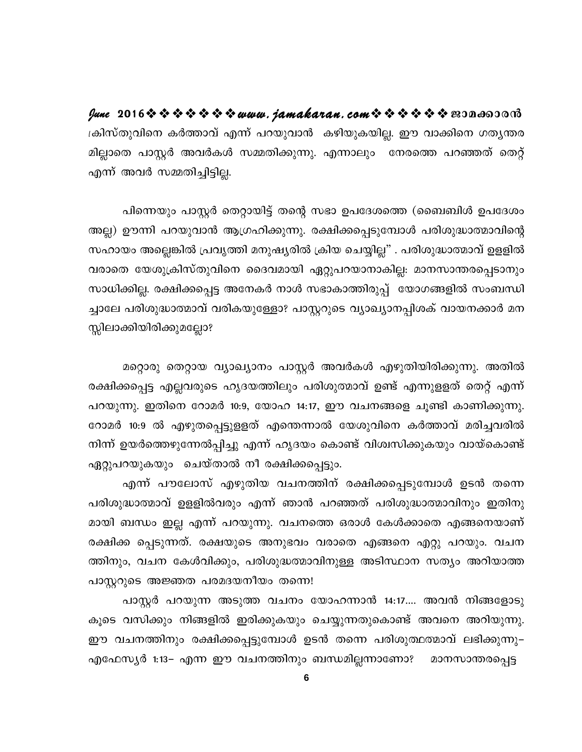ക്രിസ്തുവിനെ കർത്താവ് എന്ന് പറയുവാൻ കഴിയുകയില്ല. ഈ വാക്കിനെ ഗതൃന്തര മില്ലാതെ പാസ്റ്റർ അവർകൾ സമ്മതിക്കുന്നു. എന്നാലും നേരത്തെ പറഞ്ഞത് തെറ്റ് എന്ന് അവർ സമ്മതിച്ചിട്ടില്ല.

പിന്നെയും പാസ്റ്റർ തെറ്റായിട്ട് തന്റെ സഭാ ഉപദേശത്തെ (ബൈബിൾ ഉപദേശം അല്ല) ഊന്നി പറയുവാൻ ആഗ്രഹിക്കുന്നു. രക്ഷിക്കപ്പെടുമ്പോൾ പരിശുദ്ധാത്മാവിന്റെ സഹായം അല്ലെങ്കിൽ പ്രവൃത്തി മനുഷ്യരിൽ ക്രിയ ചെയ്യില്ല" . പരിശുദ്ധാത്മാവ് ഉളളിൽ വരാതെ യേശുക്രിസ്തുവിനെ ദൈവമായി ഏറ്റുപറയാനാകില്ല: മാനസാന്തരപ്പെടാനും സാധിക്കില്ല. രക്ഷിക്കപ്പെട്ട അനേകർ നാൾ സഭാകാത്തിരുപ്പ് യോഗങ്ങളിൽ സംബന്ധി ച്ചാലേ പരിശുദ്ധാത്മാവ് വരികയുള്ളോ? പാസ്റ്ററുടെ വ്യാഖ്യാനപ്പിശക് വായനക്കാർ മന സ്സിലാക്കിയിരിക്കുമല്ലോ?

മറ്റൊരു തെറ്റായ വ്യാഖ്യാനം പാസ്റ്റർ അവർകൾ എഴുതിയിരിക്കുന്നു. അതിൽ രക്ഷിക്കപ്പെട്ട എല്ലവരുടെ ഹൃദയത്തിലും പരിശുത്മാവ് ഉണ്ട് എന്നുളളത് തെറ്റ് എന്ന് പറയുന്നു. ഇതിനെ റോമർ 10:9, യോഹ 14:17, ഈ വചനങ്ങളെ ചൂണ്ടി കാണിക്കുന്നു. റോമർ 10:9 ൽ എഴുതപ്പെട്ടുളളത് എന്തെന്നാൽ യേശുവിനെ കർത്താവ് മരിച്ചവരിൽ നിന്ന് ഉയർത്തെഴുന്നേൽപ്പിച്ചു എന്ന് ഹൃദയം കൊണ്ട് വിശ്വസിക്കുകയും വായ്കൊണ്ട് ഏറ്റുപറയുകയും ചെയ്താൽ നീ രക്ഷിക്കപ്പെട്ടും.

എന്ന് പൗലോസ് എഴുതിയ വചനത്തിന് രക്ഷിക്കപ്പെടുമ്പോൾ ഉടൻ തന്നെ പരിശുദ്ധാത്മാവ് ഉളളിൽവരും എന്ന് ഞാൻ പറഞ്ഞത് പരിശുദ്ധാത്മാവിനും ഇതിനു മായി ബന്ധം ഇല്ല എന്ന് പറയുന്നു. വചനത്തെ ഒരാൾ കേൾക്കാതെ എങ്ങനെയാണ് രക്ഷിക്ക പ്പെടുന്നത്. രക്ഷയുടെ അനുഭവം വരാതെ എങ്ങനെ എറ്റു പറയും. വചന ത്തിനും, വചന കേൾവിക്കും, പരിശുദ്ധത്മാവിനുള്ള അടിസ്ഥാന സത്യം അറിയാത്ത പാസ്റ്ററുടെ അജ്ഞത പരമദയനീയം തന്നെ!

പാസ്റ്റർ പറയുന്ന അടുത്ത വചനം യോഹന്നാൻ 14:17.... അവൻ നിങ്ങളോടു കൂടെ വസിക്കും നിങ്ങളിൽ ഇരിക്കുകയും ചെയ്യുന്നതുകൊണ്ട് അവനെ അറിയുന്നു. ഈ വചനത്തിനും രക്ഷിക്കപ്പെട്ടുമ്പോൾ ഉടൻ തന്നെ പരിശുത്ഥത്മാവ് ലഭിക്കുന്നു– എഫേസ്യർ 1:13– എന്ന ഈ വചനത്തിനും ബന്ധമില്ലന്നാണോ? മാനസാന്തരപ്പെട്ട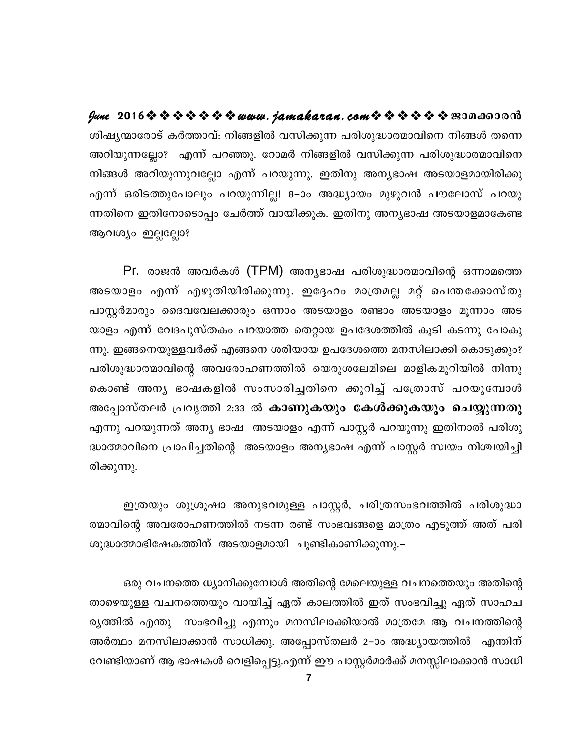ശിഷ്യന്മാരോട് കർത്താവ്: നിങ്ങളിൽ വസിക്കുന്ന പരിശുദ്ധാത്മാവിനെ നിങ്ങൾ തന്നെ അറിയുന്നല്ലോ? എന്ന് പറഞ്ഞു. റോമർ നിങ്ങളിൽ വസിക്കുന്ന പരിശുദ്ധാത്മാവിനെ നിങ്ങൾ അറിയുന്നുവല്ലോ എന്ന് പറയുന്നു. ഇതിനു അന്യഭാഷ അടയാളമായിരിക്കു എന്ന് ഒരിടത്തുപോലും പറയുന്നില്ല! 8–ാം അദ്ധ്യായം മുഴുവൻ പൗലോസ് പറയു ന്നതിനെ ഇതിനോടൊപ്പം ചേർത്ത് വായിക്കുക. ഇതിനു അന്യഭാഷ അടയാളമാകേണ്ട ആവശ്യം ഇല്ലല്ലോ?

Pr. രാജൻ അവർകൾ (TPM) അന്യഭാഷ പരിശുദ്ധാത്മാവിന്റെ ഒന്നാമത്തെ അടയാളം എന്ന് എഴുതിയിരിക്കുന്നു. ഇദ്ദേഹം മാത്രമല്ല മറ്റ് പെന്തക്കോസ്തു പാസ്റ്റർമാരും ദൈവവേലക്കാരും ഒന്നാം അടയാളം രണ്ടാം അടയാളം മൂന്നാം അട യാളം എന്ന് വേദപുസ്തകം പറയാത്ത തെറ്റായ ഉപദേശത്തിൽ കൂടി കടന്നു പോകു ന്നു. ഇങ്ങനെയുള്ളവർക്ക് എങ്ങനെ ശരിയായ ഉപദേശത്തെ മനസിലാക്കി കൊടുക്കും? പരിശുദ്ധാത്മാവിന്റെ അവരോഹണത്തിൽ യെരുശലേമിലെ മാളികമുറിയിൽ നിന്നു കൊണ്ട് അന്യ ഭാഷകളിൽ സംസാരിച്ചതിനെ ക്കുറിച്ച് പത്രോസ് പറയുമ്പോൾ അപ്പോസ്തലർ പ്രവൃത്തി 2:33 ൽ കാണുകയും കേൾക്കുകയും ചെയ്യുന്നതു എന്നു പറയുന്നത് അന്യ ഭാഷ അടയാളം എന്ന് പാസ്റ്റർ പറയുന്നു ഇതിനാൽ പരിശു ദ്ധാത്മാവിനെ പ്രാപിച്ചതിന്റെ അടയാളം അന്യഭാഷ എന്ന് പാസ്റ്റർ സ്വയം നിശ്ചയിച്ചി രിക്കുന്നു.

ഇത്രയും ശുശ്രൂഷാ അനുഭവമുള്ള പാസ്റ്റർ, ചരിത്രസംഭവത്തിൽ പരിശുദ്ധാ ത്മാവിന്റെ അവരോഹണത്തിൽ നടന്ന രണ്ട് സംഭവങ്ങളെ മാത്രം എടുത്ത് അത് പരി ശുദ്ധാത്മാഭിഷേകത്തിന് അടയാളമായി ചൂണ്ടികാണിക്കുന്നു.–

ഒരു വചനത്തെ ധ്യാനിക്കുമ്പോൾ അതിന്റെ മേലെയുള്ള വചനത്തെയും അതിന്റെ താഴെയുള്ള വചനത്തെയും വായിച്ച് ഏത് കാലത്തിൽ ഇത് സംഭവിച്ചു ഏത് സാഹച ര്യത്തിൽ എന്തു സംഭവിച്ചു എന്നും മനസിലാക്കിയാൽ മാത്രമേ ആ വചനത്തിന്റെ അർത്ഥം മനസിലാക്കാൻ സാധിക്കു. അപ്പോസ്തലർ 2–ാം അദ്ധ്യായത്തിൽ എന്തിന് വേണ്ടിയാണ് ആ ഭാഷകൾ വെളിപ്പെട്ടു.എന്ന് ഈ പാസ്റ്റർമാർക്ക് മനസ്സിലാക്കാൻ സാധി

 $\overline{7}$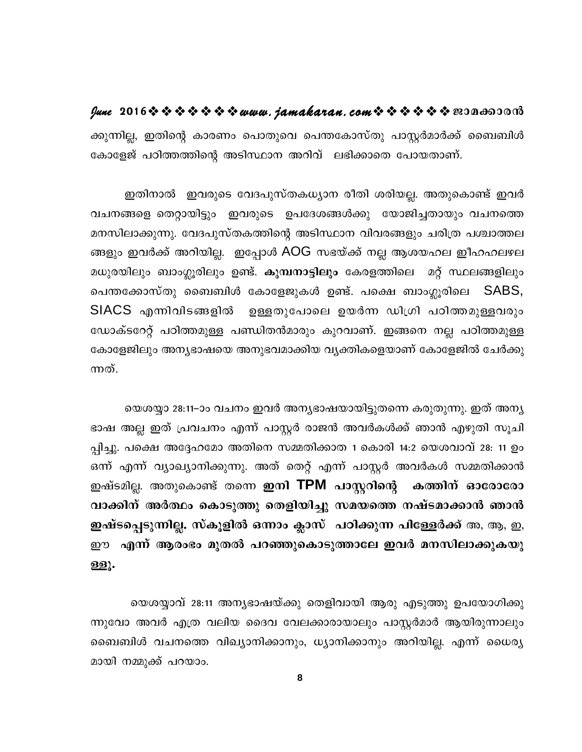ക്കുന്നില്ല, ഇതിന്റെ കാരണം പൊതുവെ പെന്തകോസ്തു പാസ്റ്റർമാർക്ക് ബൈബിൾ കോളേജ് പഠിത്തത്തിന്റെ അടിസ്ഥാന അറിവ് ലഭിക്കാതെ പോയതാണ്.

ഇതിനാൽ ഇവരുടെ വേദപുസ്തകധ്യാന രീതി ശരിയല്ല. അതുകൊണ്ട് ഇവർ വചനങ്ങളെ തെറ്റായിട്ടും ഇവരുടെ ഉപദേശങ്ങൾക്കു യോജിച്ചതായും വചനത്തെ മനസിലാക്കുന്നു. വേദപുസ്തകത്തിന്റെ അടിസ്ഥാന വിവരങ്ങളും ചരിത്ര പശ്ചാത്തല ങ്ങളും ഇവർക്ക് അറിയില്ല. ഇപ്പോൾ AOG സഭയ്ക്ക് നല്ല ആശയഹല ഇീഹഹലഴല മധുരയിലും ബാംഗ്ലൂരിലും ഉണ്ട്. കുമ്പനാട്ടിലും കേരളത്തിലെ മറ് സ്ഥലങ്ങളിലും പെന്തക്കോസ്തു ബൈബിൾ കോളേജുകൾ ഉണ്ട്. പക്ഷെ ബാംഗ്ലൂരിലെ SABS, SIACS എന്നിവിടങ്ങളിൽ ഉള്ളതുപോലെ ഉയർന്ന ഡിഗ്രി പഠിത്തമുള്ളവരും ഡോക്ടറേറ്റ് പഠിത്തമുള്ള പണ്ഡിതൻമാരും കുറവാണ്. ഇങ്ങനെ നല്ല പഠിത്തമുള്ള കോളേജിലും അന്യഭാഷയെ അനുഭവമാക്കിയ വ്യക്തികളെയാണ് കോളേജിൽ ചേർക്കു ന്നത്.

യെശയ്യാ 28:11–ാം വചനം ഇവർ അന്യഭാഷയായിട്ടുതന്നെ കരുതുന്നു. ഇത് അന്യ ഭാഷ അല്ല ഇത് പ്രവചനം എന്ന് പാസ്റ്റർ രാജൻ അവർകൾക്ക് ഞാൻ എഴുതി സൂചി പ്പിച്ചു. പക്ഷെ അദ്ദേഹമോ അതിനെ സമ്മതിക്കാത 1 കൊരി 14:2 യെശവാവ് 28: 11 ഉം ഒന്ന് എന്ന് വ്യാഖ്യാനിക്കുന്നു. അത് തെറ്റ് എന്ന് പാസ്റ്റർ അവർകൾ സമ്മതിക്കാൻ ഇഷ്ടമില്ല. അതുകൊണ്ട് തന്നെ **ഇനി TPM പാസ്റ്ററിന്റെ** കത്തിന് ഓരോരോ വാക്കിന് അർത്ഥം കൊടുത്തു തെളിയിച്ചു സമയത്തെ നഷ്ടമാക്കാൻ ഞാൻ ഇഷ്ടപ്പെടുന്നില്ല. സ്കൂളിൽ ഒന്നാം ക്ലാസ് പഠിക്കുന്ന പിള്ളേർക്ക് അ, ആ, ഇ, ഈ എന്ന് ആരംഭം മുതൽ പറഞ്ഞുകൊടുത്താലേ ഇവർ മനസിലാക്കുകയു ള്ളൂ.

യെശയ്യാവ് 28:11 അന്യഭാഷയ്ക്കു തെളിവായി ആരു എടുത്തു ഉപയോഗിക്കു ന്നുവോ അവർ എത്ര വലിയ ദൈവ വേലക്കാരായാലും പാസ്റ്റർമാർ ആയിരുന്നാലും ബൈബിൾ വചനത്തെ വിഖ്യാനിക്കാനും, ധ്യാനിക്കാനും അറിയില്ല. എന്ന് ധൈര്യ മായി നമ്മുക്ക് പറയാം.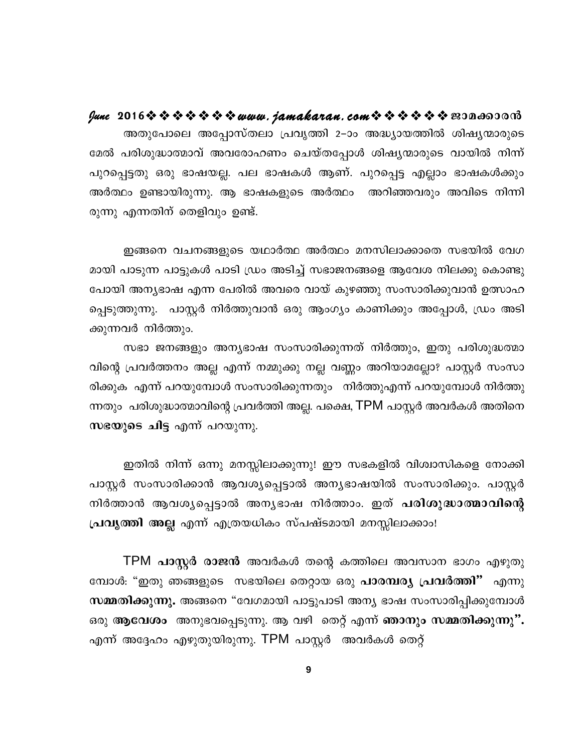അതുപോലെ അപ്പോസ്തലാ പ്രവൃത്തി 2–ാം അദ്ധ്യായത്തിൽ ശിഷ്യന്മാരുടെ മേൽ പരിശുദ്ധാത്മാവ് അവരോഹണം ചെയ്തപ്പോൾ ശിഷ്യന്മാരുടെ വായിൽ നിന്ന് പുറപ്പെട്ടതു ഒരു ഭാഷയല്ല. പല ഭാഷകൾ ആണ്. പുറപ്പെട്ട എല്ലാം ഭാഷകൾക്കും അർത്ഥം ഉണ്ടായിരുന്നു. ആ ഭാഷകളുടെ അർത്ഥം അറിഞ്ഞവരും അവിടെ നിന്നി രുന്നു എന്നതിന് തെളിവും ഉണ്ട്.

ഇങ്ങനെ വചനങ്ങളുടെ യഥാർത്ഥ അർത്ഥം മനസിലാക്കാതെ സഭയിൽ വേഗ മായി പാടുന്ന പാട്ടുകൾ പാടി ഡ്രം അടിച്ച് സഭാജനങ്ങളെ ആവേശ നിലക്കു കൊണ്ടു പോയി അന്യഭാഷ എന്ന പേരിൽ അവരെ വായ് കുഴഞ്ഞു സംസാരിക്കുവാൻ ഉത്സാഹ പ്പെടുത്തുന്നു. പാസ്റ്റർ നിർത്തുവാൻ ഒരു ആംഗ്യം കാണിക്കും അപ്പോൾ, ഡ്രം അടി ക്കുന്നവർ നിർത്തും.

സഭാ ജനങ്ങളും അന്യഭാഷ സംസാരിക്കുന്നത് നിർത്തും, ഇതു പരിശുദ്ധത്മാ വിന്റെ പ്രവർത്തനം അല്ല എന്ന് നമ്മുക്കു നല്ല വണ്ണം അറിയാമല്ലോ? പാസ്റ്റർ സംസാ രിക്കുക എന്ന് പറയുമ്പോൾ സംസാരിക്കുന്നതും നിർത്തുഎന്ന് പറയുമ്പോൾ നിർത്തു ന്നതും പരിശുദ്ധാത്മാവിന്റെ പ്രവർത്തി അല്ല. പക്ഷെ, TPM പാസ്റ്റർ അവർകൾ അതിനെ സഭയുടെ ചിട്ട എന്ന് പറയുന്നു.

ഇതിൽ നിന്ന് ഒന്നു മനസ്സിലാക്കുന്നു! ഈ സഭകളിൽ വിശ്വാസികളെ നോക്കി പാസ്റ്റർ സംസാരിക്കാൻ ആവശ്യപ്പെട്ടാൽ അന്യഭാഷയിൽ സംസാരിക്കും. പാസ്റ്റർ നിർത്താൻ ആവശൃപ്പെട്ടാൽ അനൃഭാഷ നിർത്താം. ഇത് പരിശുദ്ധാത്മാവിന്റെ പ്രവൃത്തി അല്ല എന്ന് എത്രയധികം സ്പഷ്ടമായി മനസ്സിലാക്കാം!

TPM പാസ്റ്റർ രാജൻ അവർകൾ തന്റെ കത്തിലെ അവസാന ഭാഗം എഴുതു മ്പോൾ: "ഇതു ഞങ്ങളുടെ സഭയിലെ തെറ്റായ ഒരു പാരമ്പര്യ പ്രവർത്തി" എന്നു സമ്മതിക്കുന്നു. അങ്ങനെ "വേഗമായി പാട്ടുപാടി അന്യ ഭാഷ സംസാരിപ്പിക്കുമ്പോൾ ഒരു ആവേശം അനുഭവപ്പെടുന്നു. ആ വഴി തെറ്റ് എന്ന് ഞാനും സമ്മതിക്കുന്നു". എന്ന് അദ്ദേഹം എഴുതുയിരുന്നു. TPM പാസ്റ്റർ അവർകൾ തെറ്റ്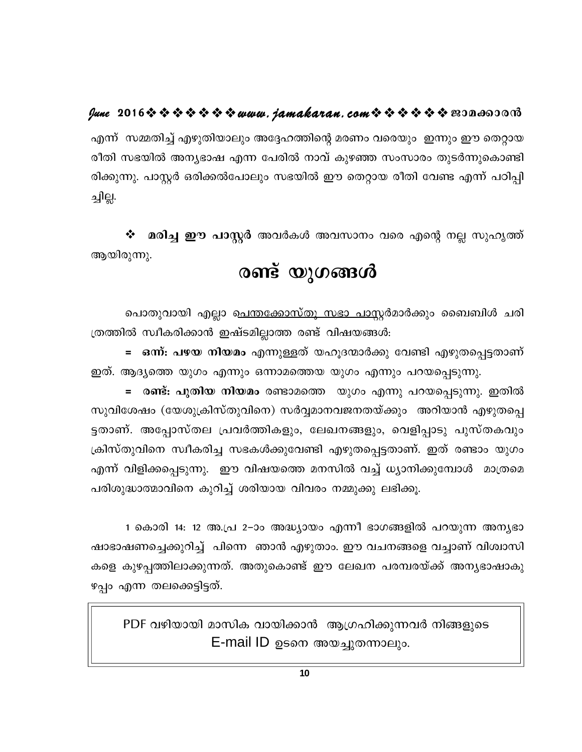### 

എന്ന് സമ്മതിച്ച് എഴുതിയാലും അദ്ദേഹത്തിന്റെ മരണം വരെയും ഇന്നും ഈ തെറ്റായ രീതി സഭയിൽ അന്യഭാഷ എന്ന പേരിൽ നാവ് കുഴഞ്ഞ സംസാരം തുടർന്നുകൊണ്ടി രിക്കുന്നു. പാസ്റ്റർ ഒരിക്കൽപോലും സഭയിൽ ഈ തെറ്റായ രീതി വേണ്ട എന്ന് പഠിപ്പി ച്ചില്ല.

 $\boldsymbol{\dot{\ast}}$  മരിച്ച ഈ പാസ്റ്റർ അവർകൾ അവസാനം വരെ എന്റെ നല്ല സുഹൃത്ത് ആയിരുന്നു.

# രണ്ട് യുഗങ്ങൾ

പൊതുവായി എല്ലാ <u>പെന്തക്കോസ്തു സഭാ പാസ്റ്റ</u>ർമാർക്കും ബൈബിൾ ചരി ത്രത്തിൽ സ്വീകരിക്കാൻ ഇഷ്ടമില്ലാത്ത രണ്ട് വിഷയങ്ങൾ:

<mark>= ഒന്ന്: പഴയ നിയമം</mark> എന്നുള്ളത് യഹൂദന്മാർക്കു വേണ്ടി എഴുതപ്പെട്ടതാണ് ഇത്. ആദ്യത്തെ യുഗം എന്നും ഒന്നാമത്തെയ യുഗം എന്നും പറയപ്പെടുന്നു.

= രണ്ട്: പുതിയ നിയമം രണ്ടാമത്തെ യുഗം എന്നു പറയപ്പെടുന്നു. ഇതിൽ സുവിശേഷം (യേശുക്രിസ്തുവിനെ) സർവ്വമാനവജനതയ്ക്കും അറിയാൻ എഴുതപ്പെ ട്ടതാണ്. അപ്പോസ്തല പ്രവർത്തികളും, ലേഖനങ്ങളും, വെളിപ്പാടു പുസ്തകവും ക്രിസ്തുവിനെ സ്വീകരിച്ച സഭകൾക്കുവേണ്ടി എഴുതപ്പെട്ടതാണ്. ഇത് രണ്ടാം യുഗം എന്ന് വിളിക്കപ്പെടുന്നു. ഈ വിഷയത്തെ മനസിൽ വച്ച് ധ്യാനിക്കുമ്പോൾ മാത്രമെ പരിശുദ്ധാത്മാവിനെ കുറിച്ച് ശരിയായ വിവരം നമ്മുക്കു ലഭിക്കൂ.

1 കൊരി 14: 12 അ.പ്ര 2–ാം അദ്ധ്യായം എന്നീ ഭാഗങ്ങളിൽ പറയുന്ന അന്യഭാ ഷാഭാഷണച്ചെക്കുറിച്ച് പിന്നെ ഞാൻ എഴുതാം. ഈ വചനങ്ങളെ വച്ചാണ് വിശ്വാസി കളെ കുഴപ്പത്തിലാക്കുന്നത്. അതുകൊണ്ട് ഈ ലേഖന പരമ്പരയ്ക്ക് അനൃഭാഷാകു ഴപ്പം എന്ന തലക്കെട്ടിട്ടത്.

PDF വഴിയായി മാസിക വായിക്കാൻ ആഗ്രഹിക്കുന്നവർ നിങ്ങളുടെ E-mail ID ഉടനെ അയച്ചുതന്നാലും.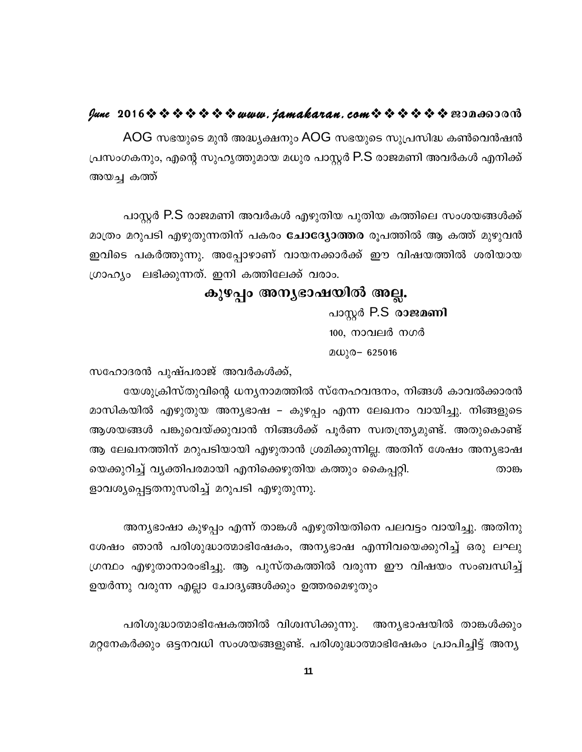### $\ell$ une 2016  $\hat{\mathbf{v}}$   $\hat{\mathbf{v}}$   $\hat{\mathbf{v}}$   $\hat{\mathbf{v}}$   $\hat{\mathbf{v}}$   $\hat{\mathbf{v}}$  we wave. jamakaran.com  $\hat{\mathbf{v}}$   $\hat{\mathbf{v}}$   $\hat{\mathbf{v}}$   $\hat{\mathbf{v}}$   $\hat{\mathbf{v}}$   $\hat{\mathbf{v}}$   $\hat{\mathbf{v}}$   $\hat{\mathbf{v}}$   $\hat{\mathbf{v}}$   $\hat{\mathbf{v}}$   $\hat{\mathbf{v}}$

AOG സഭയുടെ മുൻ അദ്ധ്യക്ഷനും AOG സഭയുടെ സുപ്രസിദ്ധ കൺവെൻഷൻ പ്രസംഗകനും, എന്റെ സുഹൃത്തുമായ മധുര പാസ്റ്റർ P.S രാജമണി അവർകൾ എനിക്ക് അയച്ച കത്ത്

പാസ്റ്റർ P.S രാജമണി അവർകൾ എഴുതിയ പുതിയ കത്തിലെ സംശയങ്ങൾക്ക് മാത്രം മറുപടി എഴുതുന്നതിന് പകരം **ചോദ്യോത്തര** രൂപത്തിൽ ആ കത്ത് മുഴുവൻ ഇവിടെ പകർത്തുന്നു. അപ്പോഴാണ് വായനക്കാർക്ക് ഈ വിഷയത്തിൽ ശരിയായ ഗ്രാഹ്യം ലഭിക്കുന്നത്. ഇനി കത്തിലേക്ക് വരാം.

# കുഴപ്പം അന്യഭാഷയിൽ അല്ല.

പാസ്റ്റർ P.S രാജമണി 100, നാവലർ നഗർ  $20\sqrt{0} - 625016$ 

സഹോദരൻ പുഷ്പരാജ് അവർകൾക്ക്,

യേശുക്രിസ്തുവിന്റെ ധന്യനാമത്തിൽ സ്നേഹവന്ദനം, നിങ്ങൾ കാവൽക്കാരൻ മാസികയിൽ എഴുതുയ അന്യഭാഷ – കുഴപ്പം എന്ന ലേഖനം വായിച്ചു. നിങ്ങളുടെ ആശയങ്ങൾ പങ്കുവെയ്ക്കുവാൻ നിങ്ങൾക്ക് പൂർണ സ്വതന്ത്ര്യമുണ്ട്. അതുകൊണ്ട് ആ ലേഖനത്തിന് മറുപടിയായി എഴുതാൻ ശ്രമിക്കുന്നില്ല. അതിന് ശേഷം അനൃഭാഷ യെക്കുറിച്ച് വ്യക്തിപരമായി എനിക്കെഴുതിയ കത്തും കൈപ്പറ്റി. താങ്ക ളാവശ്യപ്പെട്ടതനുസരിച്ച് മറുപടി എഴുതുന്നു.

അന്യഭാഷാ കുഴപ്പം എന്ന് താങ്കൾ എഴുതിയതിനെ പലവട്ടം വായിച്ചു. അതിനു ശേഷം ഞാൻ പരിശുദ്ധാത്മാഭിഷേകം, അന്യഭാഷ എന്നിവയെക്കുറിച്ച് ഒരു ലഘു ഗ്രന്ഥം എഴുതാനാരംഭിച്ചു. ആ പുസ്തകത്തിൽ വരുന്ന ഈ വിഷയം സംബന്ധിച്ച് ഉയർന്നു വരുന്ന എല്ലാ ചോദ്യങ്ങൾക്കും ഉത്തരമെഴുതും

പരിശുദ്ധാത്മാഭിഷേകത്തിൽ വിശ്വസിക്കുന്നു. അന്യഭാഷയിൽ താങ്കൾക്കും മറ്റനേകർക്കും ഒട്ടനവധി സംശയങ്ങളുണ്ട്. പരിശുദ്ധാത്മാഭിഷേകം പ്രാപിച്ചിട്ട് അന്യ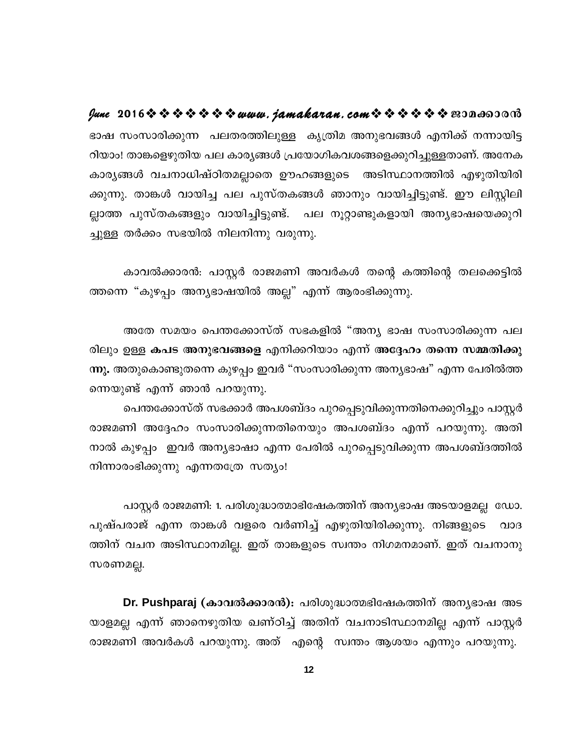lune 2016 \* \* \* \* \* \* \* www.jamakaran.com \* \* \* \* \* \* \* 2010 0000 ഭാഷ സംസാരിക്കുന്ന പലതരത്തിലുള്ള കൃത്രിമ അനുഭവങ്ങൾ എനിക്ക് നന്നായിട്ട റിയാം! താങ്കളെഴുതിയ പല കാര്യങ്ങൾ പ്രയോഗികവശങ്ങളെക്കുറിച്ചുള്ളതാണ്. അനേക കാര്യങ്ങൾ വചനാധിഷ്ഠിതമല്ലാതെ ഊഹങ്ങളുടെ അടിസ്ഥാനത്തിൽ എഴുതിയിരി ക്കുന്നു. താങ്കൾ വായിച്ച പല പുസ്തകങ്ങൾ ഞാനും വായിച്ചിട്ടുണ്ട്. ഈ ലിസ്റ്റിലി ല്ലാത്ത പുസ്തകങ്ങളും വായിച്ചിട്ടുണ്ട്. പല നൂറ്റാണ്ടുകളായി അന്യഭാഷയെക്കുറി ച്ചുള്ള തർക്കം സഭയിൽ നിലനിന്നു വരുന്നു.

കാവൽക്കാരൻ: പാസ്റ്റർ രാജമണി അവർകൾ തന്റെ കത്തിന്റെ തലക്കെട്ടിൽ ത്തന്നെ "കുഴപ്പം അന്യഭാഷയിൽ അല്ല" എന്ന് ആരംഭിക്കുന്നു.

അതേ സമയം പെന്തക്കോസ്ത് സഭകളിൽ "അന്യ ഭാഷ സംസാരിക്കുന്ന പല രിലും ഉള്ള കപട അനുഭവങ്ങളെ എനിക്കറിയാം എന്ന് അദ്ദേഹം തന്നെ സമ്മതിക്കു ന്നു. അതുകൊണ്ടുതന്നെ കുഴപ്പം ഇവർ "സംസാരിക്കുന്ന അന്യഭാഷ" എന്ന പേരിൽത്ത ന്നെയുണ്ട് എന്ന് ഞാൻ പറയുന്നു.

പെന്തക്കോസ്ത് സഭക്കാർ അപശബ്ദം പുറപ്പെടുവിക്കുന്നതിനെക്കുറിച്ചും പാസ്റ്റർ രാജമണി അദ്ദേഹം സംസാരിക്കുന്നതിനെയും അപശബ്ദം എന്ന് പറയുന്നു. അതി നാൽ കുഴപ്പം ഇവർ അന്യഭാഷാ എന്ന പേരിൽ പുറപ്പെടുവിക്കുന്ന അപശബ്ദത്തിൽ നിന്നാരംഭിക്കുന്നു എന്നതത്രേ സത്യം!

പാസ്റ്റർ രാജമണി: 1. പരിശുദ്ധാത്മാഭിഷേകത്തിന് അന്യഭാഷ അടയാളമല്ല ഡോ. പുഷ്പരാജ് എന്ന താങ്കൾ വളരെ വർണിച്ച് എഴുതിയിരിക്കുന്നു. നിങ്ങളുടെ വാദ ത്തിന് വചന അടിസ്ഥാനമില്ല. ഇത് താങ്കളുടെ സ്വന്തം നിഗമനമാണ്. ഇത് വചനാനു സരണമല്ല.

Dr. Pushparaj (കാവൽക്കാരൻ): പരിശുദ്ധാത്മഭിഷേകത്തിന് അനൃഭാഷ അട യാളമല്ല എന്ന് ഞാനെഴുതിയ ഖണ്ഠിച്ച് അതിന് വചനാടിസ്ഥാനമില്ല എന്ന് പാസ്റ്റർ രാജമണി അവർകൾ പറയുന്നു. അത് എന്റെ സ്വന്തം ആശയം എന്നും പറയുന്നു.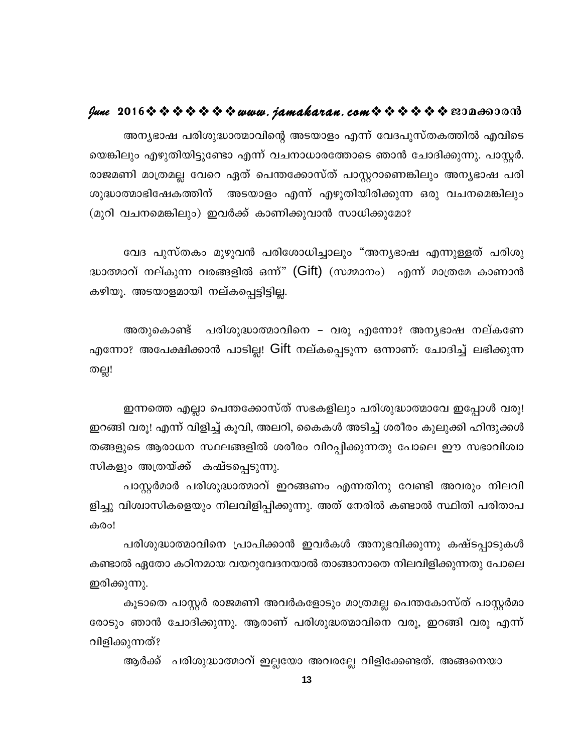# **June 2016www.jamakaran.comPma¡mc³**

A\y-`mj ]cn -ip-²m-ßmhnsâ AS-bmfw F¶v thZ-]p-kvX -I-¯n Fhn -sSsb -¦nepw Fgp-Xn -bn -«ptm F¶v hN-\m-[m-c -t¯msS Rm³ tNmZn -¡p-¶p. ]mÌÀ. cmP -aWn am{X -aà thsd GXv s]´-t¡mkvXv ]mÌdmsW-¦nepw A\y-`mj ]cn - അന്യഭാഷ പരിശുദ്ധാത്മാവിന്റെ അടയാളം എന്ന് വേദപുസ്തകത്തിൽ എവിടെ<br>യെങ്കിലും എഴുതിയിട്ടുണ്ടോ എന്ന് വചനാധാരത്തോടെ ഞാൻ ചോദിക്കുന്നു. പാസ്റ്റർ.<br>രാജമണി മാത്രമല്ല വേറെ ഏത് പെന്തക്കോസ്ത് പാസ്റ്ററാണെങ്കിലും അന്യഭാഷ പരി<br>ശുദ്ധാത്മാഭിഷേ യെങ്കിലും എഴുതിയിട്ടുണ്ടോ എന്ന് വചനാധാരത്തോടെ ഞാൻ ചോദിക്കുന്നു. പാസ്റ്റർ.<br>രാജമണി മാത്രമല്ല വേറെ ഏത് പെന്തക്കോസ്ത് പാസ്റ്ററാണെങ്കിലും അന്യഭാഷ പരി<br>ശുദ്ധാത്മാഭിഷേകത്തിന് അടയാളം എന്ന് എഴുതിയിരിക്കുന്ന ഒരു വചനമെങ്കിലും<br>(മുറ

ത്മാഭിഷേകത്തിന് അടയാളം എന്ന് എഴുതിയിരിക്കുന്ന ഒരു വചനമെങ്കിലും<br>വചനമെങ്കിലും) ഇവർക്ക് കാണിക്കുവാൻ സാധിക്കുമോ?<br>വേദ പുസ്തകം മുഴുവൻ പരിശോധിച്ചാലും "അന്യഭാഷ എന്നുള്ളത് പരിശു<br>റവ് നല്കുന്ന വരങ്ങളിൽ ഒന്ന്" (Gift) (സമ്മാനം) എന്ന് ദ്ധാത്മാവ് നല്കുന്ന വരങ്ങളിൽ ഒന്ന്' (Gift) (സമ്മാനം) എന്ന് മാത്രമേ കാണാൻ വേദ പുസ്തകം മുഴുവൻ പരിശോധിച്ചാലും "അന്ദ്ധാത്മാവ് നല്കുന്ന വരങ്ങളിൽ ഒന്ന്" (Gift) (സമ്മാനം)<br>കഴിയൂ. അടയാളമായി നല്കപ്പെട്ടിട്ടില്ല.<br>അതുകൊണ്ട് - പരിശുദ്ധാത്മാവിനെ - വരു എന്നേ

ാവ് നല്കുന്ന വരങ്ങളിൽ ഒന്ന്" (Gift) (സമ്മാനം) എന്ന് മാത്രമേ കാണാൻ<br>. അടയാളമായി നല്കപ്പെട്ടിട്ടില്ല.<br>അതുകൊണ്ട് പരിശുദ്ധാത്മാവിനെ – വരൂ എന്നോ? അന്യഭാഷ നല്കണേ<br>ാ? അപേക്ഷിക്കാൻ പാടില്ല! Gift നല്കപ്പെടുന്ന ഒന്നാണ്: ചോദിച്ച് ല കഴിയൂ. അടയാളമായി നല്കപ്പെട്ടിട്ടില്ല.<br>- അതുകൊണ്ട് - പരിശുദ്ധാത്മാവിനെ – വരൂ എന്നോ? അന്യഭാഷ നല്കണേ<br>എന്നോ? അപേക്ഷിക്കാൻ പാടില്ല! Gift നല്കപ്പെടുന്ന ഒന്നാണ്: ചോദിച്ച് ലഭിക്കുന്ന<br>തല്ല! തല്ല! എന്നോ? അപേക്ഷിക്കാൻ പാടില്ല! Gift നല്കപ്പെടുന്ന ഒന്നാണ്: ചോദിച്ച് ലഭിക്കുന്ന<br>"തല്ല!<br>ഇന്നത്തെ എല്ലാ പെന്തക്കോസ്ത് സഭകളിലും പരിശുദ്ധാത്മാവേ ഇപ്പോൾ വരൂ!<br>ഇറങ്ങി വരൂ! എന്ന് വിളിച്ച് കൂവി, അലറി, കൈകൾ അടിച്ച് ശരീരം കുലുക്കി ഹിന്

തല്ല!<br>ഇന്നത്തെ എല്ലാ പെന്തക്കോസ്ത് സഭകളിലും പരിശുദ്ധാത്മാവേ ഇപ്പോൾ വരൂ!<br>ഇറങ്ങി വരൂ! എന്ന് വിളിച്ച് കൂവി, അലറി, കൈകൾ അടിച്ച് ശരീരം കുലുക്കി ഹിന്ദുക്കൾ<br>തങ്ങളുടെ ആരാധന സ്ഥലങ്ങളിൽ ശരീരം വിറപ്പിക്കുന്നതു പോലെ ഈ സഭാവിശ്വാ<br>സികളു ഇന്നത്തെ എല്ലാ പെന്തക്കോസ്ത് സഭകളിലും പരിശുദ്ധാത്മാവേ ഇപ്പോൾ വരൂ!<br>ഇറങ്ങി വരൂ! എന്ന് വിളിച്ച് കൂവി, അലറി, കൈകൾ അടിച്ച് ശരീരം കുലുക്കി ഹിന്ദുക്കൾ<br>തങ്ങളുടെ ആരാധന സ്ഥലങ്ങളിൽ ശരീരം വിറപ്പിക്കുന്നതു പോലെ ഈ സഭാവിശ്വാ<br>സികളും അത്ര തങ്ങളുടെ ആരാധന സ്ഥലങ്ങളിൽ ശരീരം വിറപ്പിക്കുന്നതു പോലെ ഈ സഭാവിശ്വാ<br>സികളും അത്രയ്ക്ക് കഷ്ടപ്പെടുന്നു.<br>പാസ്റ്റർമാർ പരിശുദ്ധാത്മാവ് ഇറങ്ങണം എന്നതിനു വേണ്ടി അവരും നിലവി<br>ളിച്ചു വിശ്വാസികളെയും നിലവിളിപ്പിക്കുന്നു. അത് നേരിൽ കണ് l വരൂ! എന്ന് വിളിച്ച് കൂവി, അലറി, കൈകൾ അടിച്ച് ശരീരം കുലുക്കി ഹിന്ദുക്കൾ<br>ുടെ ആരാധന സ്ഥലങ്ങളിൽ ശരീരം വിറപ്പിക്കുന്നതു പോലെ ഈ സഭാവിശ്വാ<br>ും അത്രയ്ക്ക് കഷ്ടപ്പെടുന്നു.<br>പാസ്റ്റർമാർ പരിശുദ്ധാത്മാവ് ഇറങ്ങണം എന്നതിനു വേണ്ടി അ

തങ്ങളുടെ ആരാധന സ്ഥലങ്ങളിൽ ശരീരം വിറപ്പിക്കുന്നതു പോലെ ഈ സഭാവിശ്വാ<br>സികളും അത്രയ്ക്ക് കഷ്ടപ്പെടുന്നു.<br>പാസ്റ്റർമാർ പരിശുദ്ധാത്മാവ് ഇറങ്ങണം എന്നതിനു വേണ്ടി അവരും നിലവി<br>ളിച്ചു വിശ്വാസികളെയും നിലവിളിപ്പിക്കുന്നു. അത് നേരിൽ കണ് കരം! പാസ്റ്റർമാർ പരിശുദ്ധാത്മാവ് ഇറങ്ങണം എന്നതിനു വേണ്ടി അവരും നിലവി<br>്രിശ്വാസികളെയും നിലവിളിപ്പിക്കുന്നു. അത് നേരിൽ കണ്ടാൽ സ്ഥിതി പരിതാപ<br>പരിശുദ്ധാത്മാവിനെ പ്രാപിക്കാൻ ഇവർകൾ അനുഭവിക്കുന്നു കഷ്ടപ്പാടുകൾ<br>ൽ ഏതോ കഠിനമായ വയറുവേദനയാൽ

കണ്ടാൽ ഏതോ കഠിനമായ വയറുവേദനയാൽ താങ്ങാനാതെ നിലവിളിക്കുന്നതു പോലെ കരം!<br>പരിശുദ്ധാത്മാവിനെ ശ്രക്ക്ടാൽ ഏതോ കഠിനമായ വ<br>ഇരിക്കുന്നു.<br>കൂടാതെ പാസ്റ്റർ രാജമ<br>രോടാം ഞാൻ ചോദിക്കുന്നു പരിശുദ്ധാത്മാവിനെ പ്രാപിക്കാൻ ഇവർകൾ അനുഭവിക്കുന്നു കഷ്ടപ്പാടുകൾ<br>കണ്ടാൽ ഏതോ കഠിനമായ വയറുവേദനയാൽ താങ്ങാനാതെ നിലവിളിക്കുന്നതു പോലെ<br>ഇരിക്കുന്നു.<br>രോടും ഞാൻ ചോദിക്കുന്നു. ആരാണ് പരിശുദ്ധത്മാവിനെ വരൂ, ഇറങ്ങി വരൂ എന്ന്<br>വിളിക്കുന്ന

രോടും ഞാൻ ചോദിക്കുന്നു. ആരാണ് പരിശുദ്ധത്മാവിനെ വരൂ, ഇറങ്ങി വരൂ എന്ന് ഇരിക്കുന്നു.<br>കൂടാതെ പാസ്റ്റർ രാജമണി രോടും ഞാൻ ചോദിക്കുന്നു. ആര<br>വിളിക്കുന്നത്?<br>ആർക്ക് പരിശുദ്ധാത്മാവ് ഉ കൂടാതെ പാസ്റ്റർ രാജമണി അവർകളോടും മാത്രമല്ല പെന്തകോസ്ത് പാസ്റ്റർമാ<br>, ഞാൻ ചോദിക്കുന്നു. ആരാണ് പരിശുദ്ധത്മാവിനെ വരൂ, ഇറങ്ങി വരൂ എന്ന്<br>മുന്നത്?<br>ആർക്ക് പരിശുദ്ധാത്മാവ് ഇല്ലയോ അവരല്ലേ വിളിക്കേണ്ടത്. അങ്ങനെയാ<br>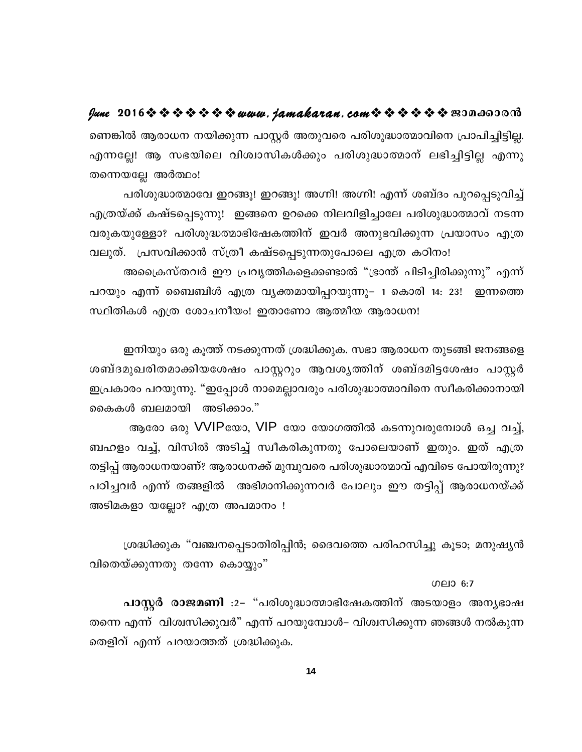### fune 2016 \* \* \* \* \* \* \* www.jamakaran.com \* \* \* \* \* \* \* 2010 0000

ണെങ്കിൽ ആരാധന നയിക്കുന്ന പാസ്റ്റർ അതുവരെ പരിശുദ്ധാത്മാവിനെ പ്രാപിച്ചിട്ടില്ല. എന്നല്ലേ! ആ സഭയിലെ വിശ്വാസികൾക്കും പരിശുദ്ധാത്മാന് ലഭിച്ചിട്ടില്ല എന്നു തന്നെയല്ലേ അർത്ഥം!

പരിശുദ്ധാത്മാവേ ഇറങ്ങൂ! ഇറങ്ങൂ! അഗ്നി! അഗ്നി! എന്ന് ശബ്ദം പുറപ്പെടുവിച്ച് എത്രയ്ക്ക് കഷ്ടപ്പെടുന്നു! ഇങ്ങനെ ഉറക്കെ നിലവിളിച്ചാലേ പരിശുദ്ധാത്മാവ് നടന്ന വരുകയുള്ളോ? പരിശുദ്ധത്മാഭിഷേകത്തിന് ഇവർ അനുഭവിക്കുന്ന പ്രയാസം എത്ര വലുത്. പ്രസവിക്കാൻ സ്ത്രീ കഷ്ടപ്പെടുന്നതുപോലെ എത്ര കഠിനം!

അപ്രൈസ്തവർ ഈ പ്രവൃത്തികളെക്കണ്ടാൽ "ഭ്രാന്ത് പിടിച്ചിരിക്കുന്നു" എന്ന് പറയും എന്ന് ബൈബിൾ എത്ര വ്യക്തമായിപ്പറയുന്നു– 1 കൊരി 14: 23! ഇന്നത്തെ സ്ഥിതികൾ എത്ര ശോചനീയം! ഇതാണോ ആത്മീയ ആരാധന!

ഇനിയും ഒരു കൂത്ത് നടക്കുന്നത് ശ്രദ്ധിക്കുക. സഭാ ആരാധന തുടങ്ങി ജനങ്ങളെ ശബ്ദമുഖരിതമാക്കിയശേഷം പാസ്റ്ററും ആവശൃത്തിന് ശബ്ദമിട്ടശേഷം പാസ്റ്റർ ഇപ്രകാരം പറയുന്നു. "ഇപ്പോൾ നാമെല്ലാവരും പരിശുദ്ധാത്മാവിനെ സ്വീകരിക്കാനായി കൈകൾ ബലമായി അടിക്കാം."

ആരോ ഒരു VVIPയോ, VIP യോ യോഗത്തിൽ കടന്നുവരുമ്പോൾ ഒച്ച വച്ച്, ബഹളം വച്ച്, വിസിൽ അടിച്ച് സ്വീകരികുന്നതു പോലെയാണ് ഇതും. ഇത് എത്ര തട്ടിപ്പ് ആരാധനയാണ്? ആരാധനക്ക് മുമ്പുവരെ പരിശുദ്ധാത്മാവ് എവിടെ പോയിരുന്നു? പഠിച്ചവർ എന്ന് തങ്ങളിൽ അഭിമാനിക്കുന്നവർ പോലും ഈ തട്ടിപ്പ് ആരാധനയ്ക്ക് അടിമകളാ യല്ലോ? എത്ര അപമാനം !

ശ്രദ്ധിക്കുക "വഞ്ചനപ്പെടാതിരിപ്പിൻ; ദൈവത്തെ പരിഹസിച്ചു കൂടാ; മനുഷ്യൻ വിതെയ്ക്കുന്നതു തന്നേ കൊയ്യും"

ഗലാ 6:7

പാസ്റ്റർ രാജമണി :2- "പരിശുദ്ധാത്മാഭിഷേകത്തിന് അടയാളം അന്യഭാഷ തന്നെ എന്ന് വിശ്വസിക്കുവർ" എന്ന് പറയുമ്പോൾ– വിശ്വസിക്കുന്ന ഞങ്ങൾ നൽകുന്ന തെളിവ് എന്ന് പറയാത്തത് ശ്രദ്ധിക്കുക.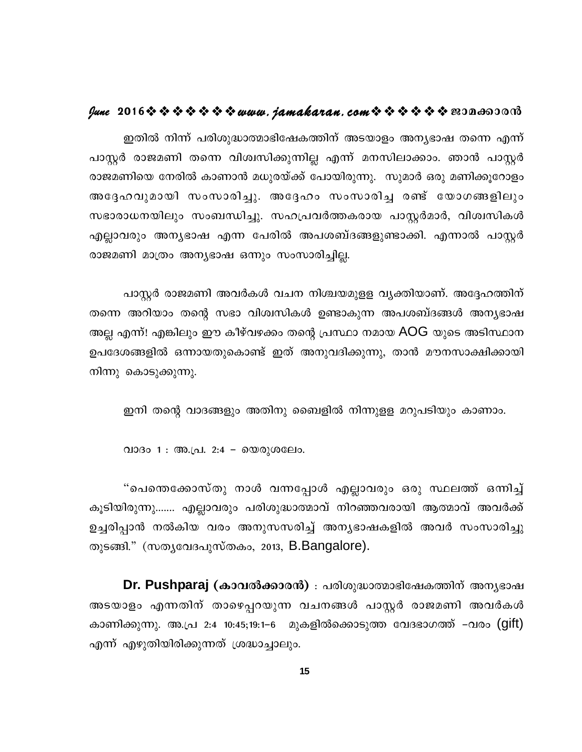### $\ell$ une 2016  $\hat{\mathbf{v}}$   $\hat{\mathbf{v}}$   $\hat{\mathbf{v}}$   $\hat{\mathbf{v}}$   $\hat{\mathbf{v}}$   $\hat{\mathbf{v}}$  we wave. jamakaran.com  $\hat{\mathbf{v}}$   $\hat{\mathbf{v}}$   $\hat{\mathbf{v}}$   $\hat{\mathbf{v}}$   $\hat{\mathbf{v}}$   $\hat{\mathbf{v}}$   $\hat{\mathbf{v}}$   $\hat{\mathbf{v}}$   $\hat{\mathbf{v}}$   $\hat{\mathbf{v}}$   $\hat{\mathbf{v}}$

ഇതിൽ നിന്ന് പരിശുദ്ധാത്മാഭിഷേകത്തിന് അടയാളം അന്യഭാഷ തന്നെ എന്ന് പാസ്റ്റർ രാജമണി തന്നെ വിശ്വസിക്കുന്നില്ല എന്ന് മനസിലാക്കാം. ഞാൻ പാസ്റ്റർ രാജമണിയെ നേരിൽ കാണാൻ മധുരയ്ക്ക് പോയിരുന്നു. സുമാർ ഒരു മണിക്കൂറോളം അദ്ദേഹവുമായി സംസാരിച്ചു. അദ്ദേഹം സംസാരിച്ച രണ്ട് യോഗങ്ങളിലും സഭാരാധനയിലും സംബന്ധിച്ചു. സഹപ്രവർത്തകരായ പാസ്റ്റർമാർ, വിശ്വസികൾ എല്ലാവരും അന്യഭാഷ എന്ന പേരിൽ അപശബ്ദങ്ങളുണ്ടാക്കി. എന്നാൽ പാസ്റ്റർ രാജമണി മാത്രം അന്യഭാഷ ഒന്നും സംസാരിച്ചില്ല.

പാസ്റ്റർ രാജമണി അവർകൾ വചന നിശ്ചയമുളള വ്യക്തിയാണ്. അദ്ദേഹത്തിന് തന്നെ അറിയാം തന്റെ സഭാ വിശ്വസികൾ ഉണ്ടാകുന്ന അപശബ്ദങ്ങൾ അനൃഭാഷ അല്ല എന്ന്! എങ്കിലും ഈ കീഴ്വഴക്കം തന്റെ പ്രസ്ഥാ നമായ AOG യുടെ അടിസ്ഥാന ഉപദേശങ്ങളിൽ ഒന്നായതുകൊണ്ട് ഇത് അനുവദിക്കുന്നു, താൻ മൗനസാക്ഷിക്കായി നിന്നു കൊടുക്കുന്നു.

ഇനി തന്റെ വാദങ്ങളും അതിനു ബൈളിൽ നിന്നുളള മറുപടിയും കാണാം.

വാദം 1 : അ.പ്ര. 2:4 - യെരുശലേം.

"പെന്തെക്കോസ്തു നാൾ വന്നപ്പോൾ എല്ലാവരും ഒരു സ്ഥലത്ത് ഒന്നിച്ച് കൂടിയിരുന്നു....... എല്ലാവരും പരിശുദ്ധാത്മാവ് നിറഞ്ഞവരായി ആത്മാവ് അവർക്ക് ഉച്ചരിപ്പാൻ നൽകിയ വരം അനുസസരിച്ച് അന്യഭാഷകളിൽ അവർ സംസാരിച്ചു തുടങ്ങി." (സതൃവേദപുസ്തകം, 2013, B.Bangalore).

Dr. Pushparaj (കാവൽക്കാരൻ) : പരിശുദ്ധാത്മാഭിഷേകത്തിന് അനൃഭാഷ അടയാളം എന്നതിന് താഴെപ്പറയുന്ന വചനങ്ങൾ പാസ്റ്റർ രാജമണി അവർകൾ കാണിക്കുന്നു. അ.പ്ര 2:4 10:45;19:1–6 മുകളിൽക്കൊടുത്ത വേദഭാഗത്ത് –വരം (gift) എന്ന് എഴുതിയിരിക്കുന്നത് ശ്രദ്ധാച്ചാലും.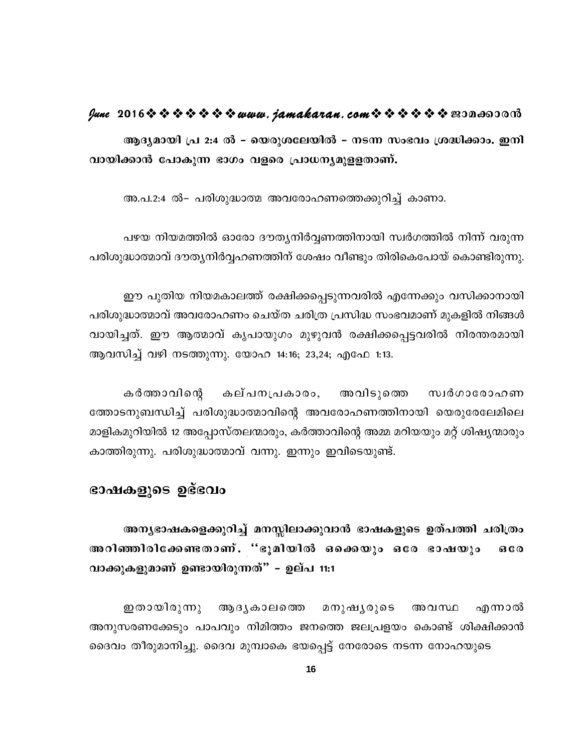### **June 2016www.jamakaran.comPma¡mc³**

ആദ്യമായി പ്ര 2:4 ൽ - യെരുശലേയിൽ - നടന്ന സംഭവം ശ്രദ്ധിക്കാം. ഇനി <u>വായിക്കാൻ പോകുന്ന ഭാഗം വളരെ പ്രാധന്യമുള</u>ളതാണ്.

അ.പ.2:4 ൽ– പരിശുദ്ധാത്മ അവരോഹണത്തെക്കുറിച്ച് കാണാ.

പഴയ നിയമത്തിൽ ഓരോ ദൗത്യനിർവ്വണത്തിനായി സ്വർഗത്തിൽ നിന്ന് വരുന്ന പരിശുദ്ധാത്മാവ് ദൗതൃനിർവ്വഹണത്തിന് ശേഷം വീണ്ടും തിരികെപോയ് കൊണ്ടിരുന്നു.

ഈ പുതിയ നിയമകാലത്ത് രക്ഷിക്കപ്പെടുന്നവരിൽ എന്നേക്കും വസിക്കാനായി പരിശുദ്ധാത്മാവ് അവരോഹണം ചെയ്ത ചരിത്ര പ്രസിദ്ധ സംഭവമാണ് മുകളിൽ നിങ്ങൾ ഈ പുതിയ നിയമകാലത്ത് രക്ഷിക്കപ്പെടുന്നവരിൽ എന്നേക്കും വസിക്കാനായി<br>പരിശുദ്ധാത്മാവ് അവരോഹണം ചെയ്ത ചരിത്ര പ്രസിദ്ധ സംഭവമാണ് മുകളിൽ നിങ്ങൾ<br>വായിച്ചത്. ഈ ആത്മാവ് കൃപായുഗം മുഴുവൻ രക്ഷിക്കപ്പെട്ടവരിൽ നിരന്തരമായി<br>ആവസിച്ച് വഴി ആവസിച്ച് വഴി നടത്തുന്നു. യോഹ 14:16; 23,24; എഫേ 1:13.

ച്ചത്. ഈ ആത്മാവ് കൃപായുഗം മുഴുവൻ രക്ഷിക്കപ്പെട്ടവരിൽ നിരന്തരമായി<br>ധിച്ച് വഴി നടത്തുന്നു. യോഹ 14:16; 23,24; എഫേ 1:13.<br>കർത്താവിന്റെ കല്പനപ്രകാരം, അവിടുത്തെ സ്വർഗാരോഹണ<br>നുബന്ധിച്ച് പരിശുദ്ധാത്മാവിന്റെ അവരോഹണത്തിനായി യെര ത്തോടനുബന്ധിച്ച് പരിശുദ്ധാത്മാവിന്റെ അവരോഹണത്തിനായി യെരുരേലേമിലെ മാളികമുറിയിൽ 12 അപ്പോസ്തലന്മാരും, കർത്താവിന്റെ അമ്മ മറിയയും മറ്റ് ശിഷ്യന്മാരും കാത്തിരുന്നു. പരിശുദ്ധാത്മാവ് വന്നു. ഇന്നും ഇവിടെയുണ്ട്.

### ഭാഷകളുടെ ഉഭ്ഭവം

`അനൃഭാഷകളെക്കുറിച്ച്` മനസ്സിലാക്കുവാൻ ഭാഷകളുടെ ഉത്പത്തി ചരിത്രം ഭാഷകളുടെ ഉഭ്ഭവം<br>അന്യഭാഷകളെക്കുറിച്ച് മനസ്സിലാക്കുവാൻ ഭാഷകളുടെ ഉത്പത്തി ചരിത്രം<br>അറിഞ്ഞിരിക്കേണ്ടതാണ്. ''ഭൂമിയിൽ ഒക്കെയും ഒരേ ഭാഷയും ഒരേ<br>വാക്കുകളുമാണ് ഉണ്ടായിരുന്നത്" - ഉല്പ 11:1 വാക്കുകളുമാണ് ഉണ്ടായിരുന്നത്" – ഉല്**പ** 11:1

ഇതായിരുന്നു ആദൃകാലത്തെ മനുഷൃരുടെ അവസ്ഥ എന്നാൽ അനുസരണക്കേടും പാപവും നിമിത്തം ജനത്തെ ജലപ്രളയം കൊണ്ട് ശിക്ഷിക്കാൻ ദൈവം തീരുമാനിച്ചു. ദൈവ മുമ്പാകെ ഭയപ്പെട്ട് നേരോടെ നടന്ന നോഹയുടെ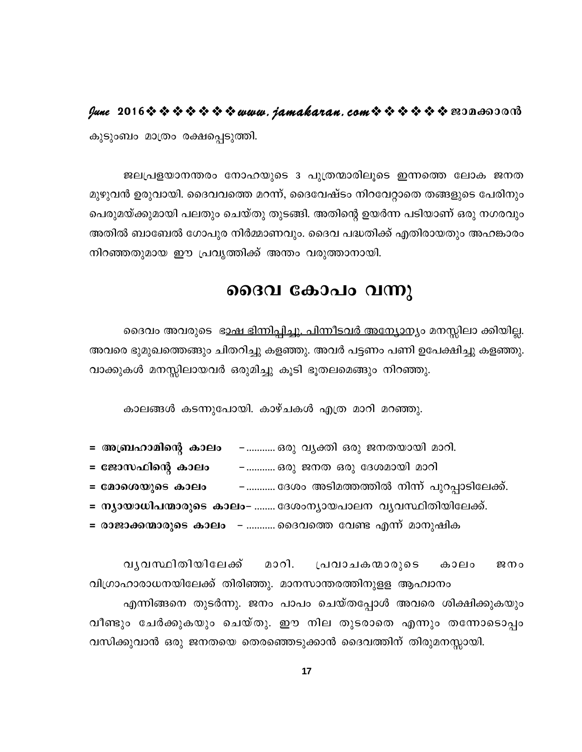lune 2016 \* \* \* \* \* \* \* www.jamakaran.com \* \* \* \* \* \* \* 2010 0000 കുടുംബം മാത്രം രക്ഷപ്പെടുത്തി.

ജലപ്രളയാനന്തരം നോഹയുടെ 3 പുത്രന്മാരിലൂടെ ഇന്നത്തെ ലോക ജനത മുഴുവൻ ഉരുവായി. ദൈവവത്തെ മറന്ന്, ദൈവേഷ്ടം നിറവേറ്റാതെ തങ്ങളുടെ പേരിനും പെരുമയ്ക്കുമായി പലതും ചെയ്തു തുടങ്ങി. അതിന്റെ ഉയർന്ന പടിയാണ് ഒരു നഗരവും അതിൽ ബാബേൽ ഗോപുര നിർമ്മാണവും. ദൈവ പദ്ധതിക്ക് എതിരായതും അഹങ്കാരം നിറഞ്ഞതുമായ ഈ പ്രവൃത്തിക്ക് അന്തം വരുത്താനായി.

### ദൈവ കോപം വന്നു

ദൈവം അവരുടെ ഭാഷ <u>ഭിന്നിപ്പിച്ചു. പിന്നീടവർ അന്യോന്യം</u> മനസ്സിലാ ക്കിയില്ല. അവരെ ഭുമുഖത്തെങ്ങും ചിതറിച്ചു കളഞ്ഞു. അവർ പട്ടണം പണി ഉപേക്ഷിച്ചു കളഞ്ഞു. വാക്കുകൾ മനസ്സിലായവർ ഒരുമിച്ചു കൂടി ഭൂതലമെങ്ങും നിറഞ്ഞു.

കാലങ്ങൾ കടന്നുപോയി. കാഴ്ചകൾ എത്ര മാറി മറഞ്ഞു.

- = അബ്രഹാമിന്റെ കാലം –………..ഒരു വ്യക്തി ഒരു ജനതയായി മാറി.
- = ജോസഫിന്റെ കാലം ……….. ഒരു ജനത ഒരു ദേശമായി മാറി
- = മോശെയുടെ കാലം –........... ദേശം അടിമത്തത്തിൽ നിന്ന് പുറപ്പാടിലേക്ക്.
- = ന്യായാധിപന്മാരുടെ കാലം- ........ ദേശംന്യായപാലന വ്യവസ്ഥിതിയിലേക്ക്.
- = രാജാക്കന്മാരുടെ കാലം ........... ദൈവത്തെ വേണ്ട എന്ന് മാനുഷിക

വൃവസ്ഥിതിയിലേക്ക് മാറി. പ്രവാചകന്മാരുടെ കാലം ജനം വിഗ്രാഹാരാധനയിലേക്ക് തിരിഞ്ഞു. മാനസാന്തരത്തിനുളള ആഹ്വാനം എന്നിങ്ങനെ തുടർന്നു. ജനം പാപം ചെയ്തപ്പോൾ അവരെ ശിക്ഷിക്കുകയും വീണ്ടും ചേർക്കുകയും ചെയ്തു. ഈ നില തുടരാതെ എന്നും തന്നോടൊപ്പം വസിക്കുവാൻ ഒരു ജനതയെ തെരഞ്ഞെടുക്കാൻ ദൈവത്തിന് തിരുമനസ്സായി.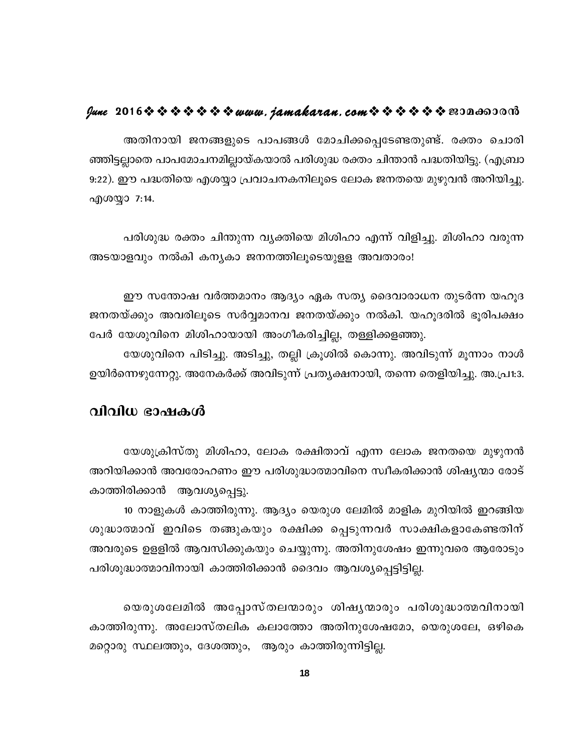### lune 2016 \* \* \* \* \* \* \* www.jamakaran.com \* \* \* \* \* \* \* 2010 00:00

അതിനായി ജനങ്ങളുടെ പാപങ്ങൾ മോചിക്കപ്പെടേണ്ടതുണ്ട്. രക്തം ചൊരി ഞ്ഞിട്ടല്ലാതെ പാപമോചനമില്ലായ്കയാൽ പരിശുദ്ധ രക്തം ചിന്താൻ പദ്ധതിയിട്ടു. (എബ്രാ 9:22). ഈ പദ്ധതിയെ എശയ്യാ പ്രവാചനകനിലൂടെ ലോക ജനതയെ മുഴുവൻ അറിയിച്ചു. എശയ്യാ 7:14.

പരിശുദ്ധ രക്തം ചിന്തുന്ന വ്യക്തിയെ മിശിഹാ എന്ന് വിളിച്ചു. മിശിഹാ വരുന്ന അടയാളവും നൽകി കന്യകാ ജനനത്തിലൂടെയുളള അവതാരം!

ഈ സന്തോഷ വർത്തമാനം ആദ്യം ഏക സത്യ ദൈവാരാധന തുടർന്ന യഹൂദ ജനതയ്ക്കും അവരിലൂടെ സർവ്വമാനവ ജനതയ്ക്കും നൽകി. യഹൂദരിൽ ഭൂരിപക്ഷം പേർ യേശുവിനെ മിശിഹായായി അംഗീകരിച്ചില്ല, തള്ളിക്കളഞ്ഞു.

യേശുവിനെ പിടിച്ചു. അടിച്ചു, തല്ലി ക്രൂശിൽ കൊന്നു. അവിടുന്ന് മൂന്നാം നാൾ ഉയിർന്നെഴുന്നേറ്റു. അനേകർക്ക് അവിടുന്ന് പ്രത്യക്ഷനായി, തന്നെ തെളിയിച്ചു. അ.പ്ര1:3.

### വിവിധ ഭാഷകൾ

യേശുക്രിസ്തു മിശിഹാ, ലോക രക്ഷിതാവ് എന്ന ലോക ജനതയെ മുഴുനൻ അറിയിക്കാൻ അവരോഹണം ഈ പരിശുദ്ധാത്മാവിനെ സ്വീകരിക്കാൻ ശിഷ്യന്മാ രോട് കാത്തിരിക്കാൻ ആവശ്യപ്പെട്ടു.

10 നാളുകൾ കാത്തിരുന്നു. ആദ്യം യെരുശ ലേമിൽ മാളിക മുറിയിൽ ഇറങ്ങിയ ശുദ്ധാത്മാവ് ഇവിടെ തങ്ങുകയും രക്ഷിക്ക പ്പെടുന്നവർ സാക്ഷികളാകേണ്ടതിന് അവരുടെ ഉളളിൽ ആവസിക്കുകയും ചെയ്യുന്നു. അതിനുശേഷം ഇന്നുവരെ ആരോടും പരിശുദ്ധാത്മാവിനായി കാത്തിരിക്കാൻ ദൈവം ആവശ്യപ്പെട്ടിട്ടില്ല.

യെരുശലേമിൽ അപ്പോസ്തലന്മാരും ശിഷൃന്മാരും പരിശുദ്ധാത്മവിനായി കാത്തിരുന്നു. അലോസ്തലിക കലാത്തോ അതിനുശേഷമോ, യെരുശലേ, ഒഴികെ മറ്റൊരു സ്ഥലത്തും, ദേശത്തും, ആരും കാത്തിരുന്നിട്ടില്ല.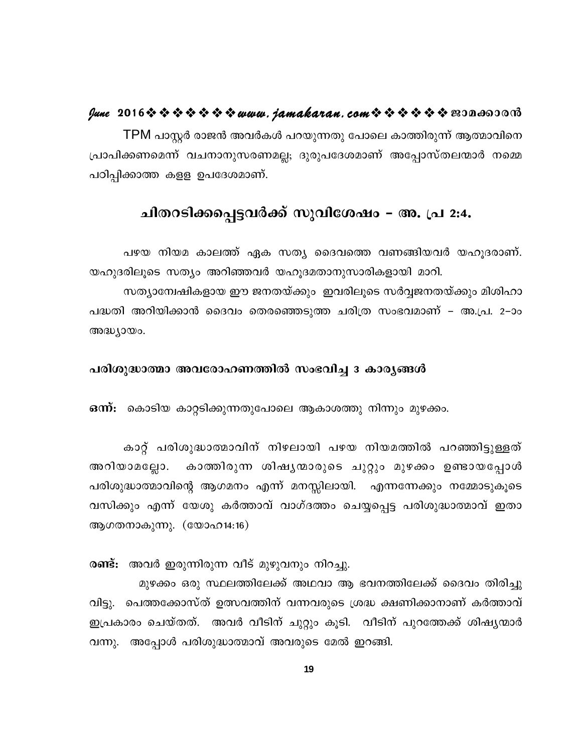### fune 2016 \* \* \* \* \* \* \* www.jamakaran.com \* \* \* \* \* \* \* 2010 0000

TPM പാസ്റ്റർ രാജൻ അവർകൾ പറയുന്നതു പോലെ കാത്തിരുന്ന് ആത്മാവിനെ പ്രാപിക്കണമെന്ന് വചനാനുസരണമല്ല; ദുരുപദേശമാണ് അപ്പോസ്തലന്മാർ നമ്മെ പഠിപ്പിക്കാത്ത കളള ഉപദേശമാണ്.

# ചിതറടിക്കപ്പെട്ടവർക്ക് സുവിശേഷം – അ. പ്ര 2:4.

പഴയ നിയമ കാലത്ത് ഏക സത്യ ദൈവത്തെ വണങ്ങിയവർ യഹൂദരാണ്. യഹുദരിലൂടെ സത്യം അറിഞ്ഞവർ യഹൂദമതാനുസാരികളായി മാറി. സത്യാന്വേഷികളായ ഈ ജനതയ്ക്കും ഇവരിലൂടെ സർവ്വജനതയ്ക്കും മിശിഹാ പദ്ധതി അറിയിക്കാൻ ദൈവം തെരഞ്ഞെടുത്ത ചരിത്ര സംഭവമാണ് – അ.പ്ര. 2–ാം അദ്ധ്യായം.

### പരിശുദ്ധാത്മാ അവരോഹണത്തിൽ സംഭവിച്ച 3 കാര്യങ്ങൾ

ഒന്ന്: കൊടിയ കാറ്റടിക്കുന്നതുപോലെ ആകാശത്തു നിന്നും മുഴക്കം.

കാറ്റ് പരിശുദ്ധാത്മാവിന് നിഴലായി പഴയ നിയമത്തിൽ പറഞ്ഞിട്ടുള്ളത് അറിയാമല്ലോ. കാത്തിരുന്ന ശിഷൃന്മാരുടെ ചുറ്റും മുഴക്കം ഉണ്ടായപ്പോൾ പരിശുദ്ധാത്മാവിന്റെ ആഗമനം എന്ന് മനസ്സിലായി. എന്നന്നേക്കും നമ്മോടുകൂടെ വസിക്കും എന്ന് യേശു കർത്താവ് വാഗ്ദത്തം ചെയ്യപ്പെട്ട പരിശുദ്ധാത്മാവ് ഇതാ ആഗതനാകുന്നു.  $(\text{co}$ ാഹ14:16)

രണ്ട്: അവർ ഇരുന്നിരുന്ന വീട് മുഴുവനും നിറച്ചു.

മുഴക്കം ഒരു സ്ഥലത്തിലേക്ക് അഥവാ ആ ഭവനത്തിലേക്ക് ദൈവം തിരിച്ചു വിട്ടു. പെത്തക്കോസ്ത് ഉത്സവത്തിന് വന്നവരുടെ ശ്രദ്ധ ക്ഷണിക്കാനാണ് കർത്താവ് ഇപ്രകാരം ചെയ്തത്. അവർ വീടിന് ചുറ്റും കൂടി. വീടിന് പുറത്തേക്ക് ശിഷ്യന്മാർ വന്നു. അപ്പോൾ പരിശുദ്ധാത്മാവ് അവരുടെ മേൽ ഇറങ്ങി.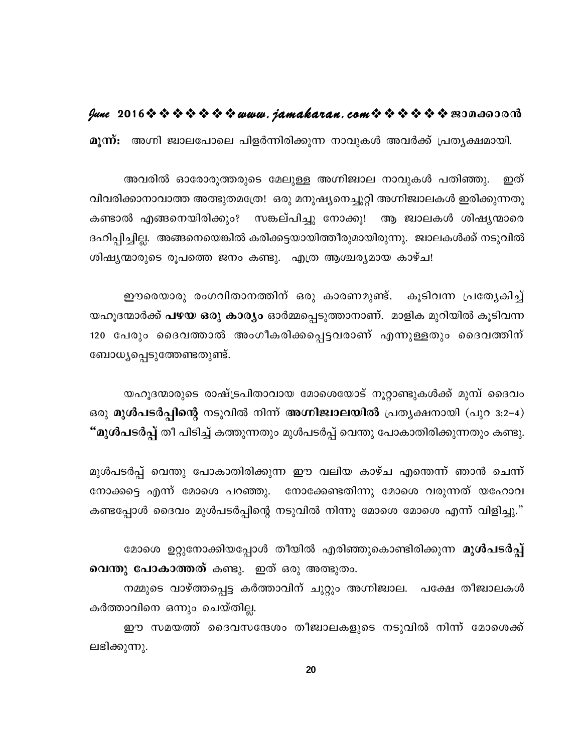### $\ell$ une 2016  $\hat{\mathbf{v}}$   $\hat{\mathbf{v}}$   $\hat{\mathbf{v}}$   $\hat{\mathbf{v}}$   $\hat{\mathbf{v}}$   $\hat{\mathbf{v}}$  we we have  $\ell$  and  $\ell$  and  $\ell$  and  $\hat{\mathbf{v}}$   $\hat{\mathbf{v}}$   $\hat{\mathbf{v}}$   $\hat{\mathbf{v}}$   $\hat{\mathbf{v}}$   $\hat{\mathbf{v}}$   $\hat{\mathbf{v}}$   $\hat{\mathbf{v}}$   $\hat{\mathbf{v}}$   $\hat{\math$

മുന്ന്: അഗ്നി ജ്വാലപോലെ പിളർന്നിരിക്കുന്ന നാവുകൾ അവർക്ക് പ്രത്യക്ഷമായി.

അവരിൽ ഓരോരുത്തരുടെ മേലുള്ള അഗ്നിജ്വാല നാവുകൾ പതിഞ്ഞു. ഇത് വിവരിക്കാനാവാത്ത അത്ഭുതമത്രേ! ഒരു മനുഷ്യനെച്ചുറ്റി അഗ്നിജ്വാലകൾ ഇരിക്കുന്നതു കണ്ടാൽ എങ്ങനെയിരിക്കും? സങ്കല്പിച്ചു നോക്കൂ! ആ ജ്വാലകൾ ശിഷ്യന്മാരെ ദഹിപ്പിച്ചില്ല. അങ്ങനെയെങ്കിൽ കരിക്കട്ടയായിത്തീരുമായിരുന്നു. ജ്വാലകൾക്ക് നടുവിൽ ശിഷ്യന്മാരുടെ രൂപത്തെ ജനം കണ്ടു. എത്ര ആശ്ചര്യമായ കാഴ്ച!

ഈരെയാരു രംഗവിതാനത്തിന് ഒരു കാരണമുണ്ട്. കൂടിവന്ന പ്രത്യേകിച്ച് യഹൂദന്മാർക്ക് **പഴയ ഒരു കാര്യം** ഓർമ്മപ്പെടുത്താനാണ്. മാളിക മുറിയിൽ കൂടിവന്ന 120 പേരും ദൈവത്താൽ അംഗീകരിക്കപ്പെട്ടവരാണ് എന്നുള്ളതും ദൈവത്തിന് ബോധ്യപ്പെടുത്തേണ്ടതുണ്ട്.

യഹൂദന്മാരുടെ രാഷ്ട്രപിതാവായ മോശെയോട് നൂറ്റാണ്ടുകൾക്ക് മുമ്പ് ദൈവം ഒരു മുൾപടർപ്പിന്റെ നടുവിൽ നിന്ന് അഗ്നിജ്വാലയിൽ പ്രത്യക്ഷനായി (പുറ 3:2-4) "മുൾപടർപ്പ് തീ പിടിച്ച് കത്തുന്നതും മുൾപടർപ്പ് വെന്തു പോകാതിരിക്കുന്നതും കണ്ടു.

മുൾപടർപ്പ് വെന്തു പോകാതിരിക്കുന്ന ഈ വലിയ കാഴ്ച എന്തെന്ന് ഞാൻ ചെന്ന് നോക്കട്ടെ എന്ന് മോശെ പറഞ്ഞു. നോക്കേണ്ടതിന്നു മോശെ വരുന്നത് യഹോവ കണ്ടപ്പോൾ ദൈവം മുൾപടർപ്പിന്റെ നടുവിൽ നിന്നു മോശെ മോശെ എന്ന് വിളിച്ചു."

മോശെ ഉറ്റുനോക്കിയപ്പോൾ തീയിൽ എരിഞ്ഞുകൊണ്ടിരിക്കുന്ന **മുൾപടർപ്പ് വെന്തു പോകാത്തത്** കണ്ടു. ഇത് ഒരു അത്ഭുതം.

നമ്മുടെ വാഴ്ത്തപ്പെട്ട കർത്താവിന് ചുറ്റും അഗ്നിജ്വാല. പക്ഷേ തീജ്വാലകൾ കർത്താവിനെ ഒന്നും ചെയ്തില്ല.

ഈ സമയത്ത് ദൈവസന്ദേശം തീജ്വാലകളുടെ നടുവിൽ നിന്ന് മോശെക്ക് ലഭിക്കുന്നു.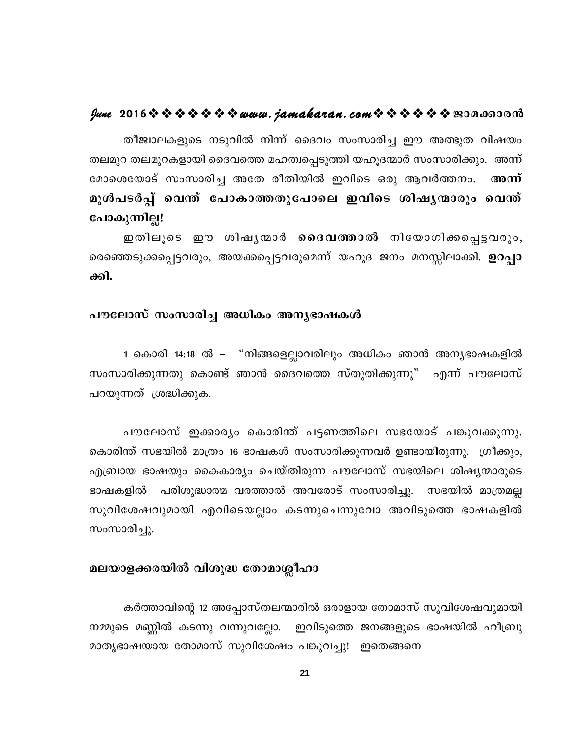### fune 2016 \* \* \* \* \* \* \* www.jamakaran.com \* \* \* \* \* \* \* 2010 0010

തീജ്വാലകളുടെ നടുവിൽ നിന്ന് ദൈവം സംസാരിച്ച ഈ അത്ഭുത വിഷയം തലമുറ തലമുറകളായി ദൈവത്തെ മഹത്വപ്പെടുത്തി യഹൂദന്മാർ സംസാരിക്കും. അന്ന് മോശെയോട് സംസാരിച്ച അതേ രീതിയിൽ ഇവിടെ ഒരു ആവർത്തനം. അന്ന് മുൾപടർപ്പ് വെന്ത് പോകാത്തതുപോലെ ഇവിടെ ശിഷൃന്മാരും വെന്ത് പോകുന്നില്ല!

ഇതിലൂടെ ഈ ശിഷൃന്മാർ **ദൈവത്താൽ** നിയോഗിക്കപ്പെട്ടവരും, രെഞ്ഞെടുക്കപ്പെട്ടവരും, അയക്കപ്പെട്ടവരുമെന്ന് യഹൂദ ജനം മനസ്സിലാക്കി. **ഉറപ്പാ** ക്കി.

### പൗലോസ് സംസാരിച്ച അധികം അനൃഭാഷകൾ

1 കൊരി 14:18 ൽ – "നിങ്ങളെല്ലാവരിലും അധികം ഞാൻ അന്യഭാഷകളിൽ സംസാരിക്കുന്നതു കൊണ്ട് ഞാൻ ദൈവത്തെ സ്തുതിക്കുന്നു" എന്ന് പൗലോസ് പറയുന്നത് ശ്രദ്ധിക്കുക.

പൗലോസ് ഇക്കാര്യം കൊരിന്ത് പട്ടണത്തിലെ സഭയോട് പങ്കുവക്കുന്നു. കൊരിന്ത് സഭയിൽ മാത്രം 16 ഭാഷകൾ സംസാരിക്കുന്നവർ ഉണ്ടായിരുന്നു. ഗ്രീക്കും, എബ്രായ ഭാഷയും കൈകാര്യം ചെയ്തിരുന്ന പൗലോസ് സഭയിലെ ശിഷ്യന്മാരുടെ ഭാഷകളിൽ പരിശുദ്ധാത്മ വരത്താൽ അവരോട് സംസാരിച്ചു. സഭയിൽ മാത്രമല്ല സുവിശേഷവുമായി എവിടെയല്ലാം കടന്നുചെന്നുവോ അവിടുത്തെ ഭാഷകളിൽ സംസാരിച്ചു.

### മലയാളക്കരയിൽ വിശുദ്ധ തോമാശ്ലീഹാ

കർത്താവിന്റെ 12 അപ്പോസ്തലന്മാരിൽ ഒരാളായ തോമാസ് സുവിശേഷവുമായി നമ്മുടെ മണ്ണിൽ കടന്നു വന്നുവല്ലോ. ഇവിടുത്തെ ജനങ്ങളുടെ ഭാഷയിൽ ഹീബ്രു മാതൃഭാഷയായ തോമാസ് സുവിശേഷം പങ്കുവച്ചു! ഇതെങ്ങനെ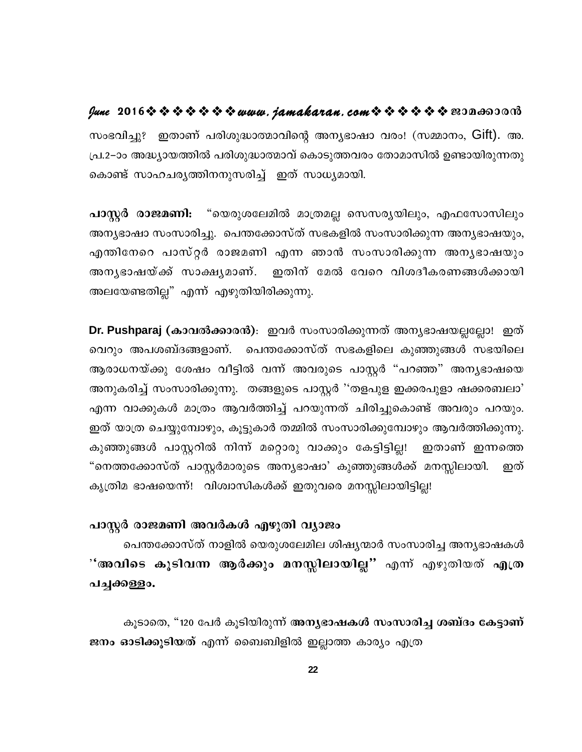### lune 2016 \* \* \* \* \* \* \* www.jamakaran.com \* \* \* \* \* \* \* 2010600010

സംഭവിച്ചു? ഇതാണ് പരിശുദ്ധാത്മാവിന്റെ അനൃഭാഷാ വരം! (സമ്മാനം, Gift). അ. പ്ര.2–ാം അദ്ധ്യായത്തിൽ പരിശുദ്ധാത്മാവ് കൊടുത്തവരം തോമാസിൽ ഉണ്ടായിരുന്നതു കൊണ്ട് സാഹചര്യത്തിനനുസരിച്ച് ഇത് സാധ്യമായി.

പാസ്റ്റർ രാജമണി: "യെരുശലേമിൽ മാത്രമല്ല സെസര്യയിലും, എഫസോസിലും അന്യഭാഷാ സംസാരിച്ചു. പെന്തക്കോസ്ത് സഭകളിൽ സംസാരിക്കുന്ന അന്യഭാഷയും, എന്തിനേറെ പാസ്റ്റർ രാജമണി എന്ന ഞാൻ സംസാരിക്കുന്ന അനൃഭാഷയും അനൃഭാഷയ്ക്ക് സാക്ഷൃമാണ്. ഇതിന് മേൽ വേറെ വിശദീകരണങ്ങൾക്കായി അലയേണ്ടതില്ല" എന്ന് എഴുതിയിരിക്കുന്നു.

Dr. Pushparaj (കാവൽക്കാരൻ): ഇവർ സംസാരിക്കുന്നത് അനൃഭാഷയല്ലല്ലോ! ഇത് വെറും അപശബ്ദങ്ങളാണ്. പെന്തക്കോസ്ത് സഭകളിലെ കുഞ്ഞുങ്ങൾ സഭയിലെ ആരാധനയ്ക്കു ശേഷം വീട്ടിൽ വന്ന് അവരുടെ പാസ്റ്റർ "പറഞ്ഞ" അനൃഭാഷയെ അനുകരിച്ച് സംസാരിക്കുന്നു. തങ്ങളുടെ പാസ്റ്റർ ''തളപുള ഇക്കരപുളാ ഷക്കരബലാ' എന്ന വാക്കുകൾ മാത്രം ആവർത്തിച്ച് പറയുന്നത് ചിരിച്ചുകൊണ്ട് അവരും പറയും. ഇത് യാത്ര ചെയ്യുമ്പോഴും, കുട്ടുകാർ തമ്മിൽ സംസാരിക്കുമ്പോഴും ആവർത്തിക്കുന്നു. കുഞ്ഞുങ്ങൾ പാസ്റ്ററിൽ നിന്ന് മറ്റൊരു വാക്കും കേട്ടിട്ടില്ല! ഇതാണ് ഇന്നത്തെ "നെത്തക്കോസ്ത് പാസ്റ്റർമാരുടെ അനൃഭാഷാ' കുഞ്ഞുങ്ങൾക്ക് മനസ്സിലായി. ഇത് ക്യത്രിമ ഭാഷയെന്ന്! വിശ്വാസികൾക്ക് ഇതുവരെ മനസ്സിലായിട്ടില്ല!

### പാസ്റ്റർ രാജമണി അവർകൾ എഴുതി വ്യാജം

പെന്തക്കോസ്ത് നാളിൽ യെരുശലേമില ശിഷ്യന്മാർ സംസാരിച്ച അന്യഭാഷകൾ ്'അവിടെ കൂടിവന്ന ആർക്കും മനസ്സിലായില്ല" എന്ന് എഴുതിയത് എത്ര പച്ചക്കള്ളം.

കൂടാതെ, "120 പേർ കൂടിയിരുന്ന് <mark>അനൃഭാഷകൾ സംസാരിച്ച ശബ്ദം കേട്ടാണ്</mark> ജനം ഓടിക്കൂടിയത് എന്ന് ബൈബിളിൽ ഇല്ലാത്ത കാര്യം എത്ര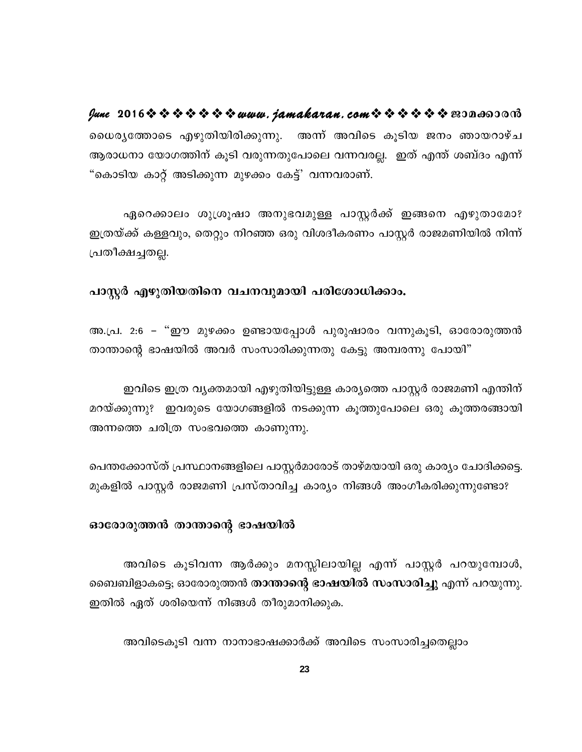lune 2016 \* \* \* \* \* \* \* www.jamakaran.com \* \* \* \* \* \* \* 2010 0000 ധൈര്യത്തോടെ എഴുതിയിരിക്കുന്നു. അന്ന് അവിടെ കൂടിയ ജനം ഞായറാഴ്ച ആരാധനാ യോഗത്തിന് കൂടി വരുന്നതുപോലെ വന്നവരല്ല. ഇത് എന്ത് ശബ്ദം എന്ന് "കൊടിയ കാറ്റ് അടിക്കുന്ന മുഴക്കം കേട്ട്' വന്നവരാണ്.

ഏറെക്കാലം ശുശ്രൂഷാ അനുഭവമുള്ള പാസ്റ്റർക്ക് ഇങ്ങനെ എഴുതാമോ? ഇത്രയ്ക്ക് കള്ളവും, തെറ്റും നിറഞ്ഞ ഒരു വിശദീകരണം പാസ്റ്റർ രാജമണിയിൽ നിന്ന് പ്രതീക്ഷച്ചതല്ല.

### പാസ്റ്റർ എഴുതിയതിനെ വചനവുമായി പരിശോധിക്കാം.

അ.പ്ര. 2:6 – "ഈ മുഴക്കം ഉണ്ടായപ്പോൾ പുരുഷാരം വന്നുകൂടി, ഓരോരുത്തൻ താന്താന്റെ ഭാഷയിൽ അവർ സംസാരിക്കുന്നതു കേട്ടു അമ്പരന്നു പോയി"

ഇവിടെ ഇത്ര വൃക്തമായി എഴുതിയിട്ടുള്ള കാര്യത്തെ പാസ്റ്റർ രാജമണി എന്തിന് മറയ്ക്കുന്നു? ഇവരുടെ യോഗങ്ങളിൽ നടക്കുന്ന കൂത്തുപോലെ ഒരു കൂത്തരങ്ങായി അന്നത്തെ ചരിത്ര സംഭവത്തെ കാണുന്നു.

പെന്തക്കോസ്ത് പ്രസ്ഥാനങ്ങളിലെ പാസ്റ്റർമാരോട് താഴ്മയായി ഒരു കാര്യം ചോദിക്കട്ടെ. മുകളിൽ പാസ്റ്റർ രാജമണി പ്രസ്താവിച്ച കാര്യം നിങ്ങൾ അംഗീകരിക്കുന്നുണ്ടോ?

### ഓരോരുത്തൻ താന്താന്റെ ഭാഷയിൽ

അവിടെ കൂടിവന്ന ആർക്കും മനസ്സിലായില്ല എന്ന് പാസ്റ്റർ പറയുമ്പോൾ, ബൈബിളാകട്ടെ; ഓരോരുത്തൻ <mark>താന്താന്റെ ഭാഷയിൽ സംസാരിച്ചു</mark> എന്ന് പറയുന്നു. ഇതിൽ ഏത് ശരിയെന്ന് നിങ്ങൾ തീരുമാനിക്കുക.

അവിടെകൂടി വന്ന നാനാഭാഷക്കാർക്ക് അവിടെ സംസാരിച്ചതെല്ലാം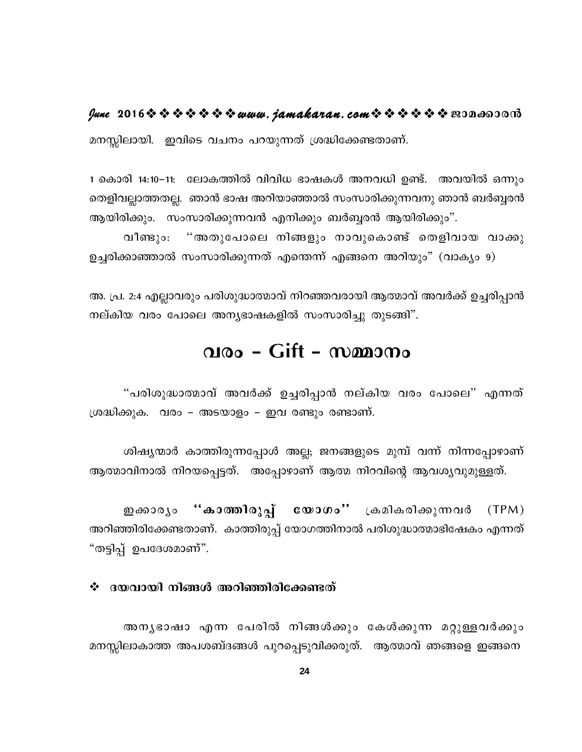$\ell$ une 2016  $\hat{\mathbf{v}}$   $\hat{\mathbf{v}}$   $\hat{\mathbf{v}}$   $\hat{\mathbf{v}}$   $\hat{\mathbf{v}}$   $\hat{\mathbf{v}}$  we we have  $\ell$  and  $\ell$  and  $\ell$  and  $\hat{\mathbf{v}}$   $\hat{\mathbf{v}}$   $\hat{\mathbf{v}}$   $\hat{\mathbf{v}}$   $\hat{\mathbf{v}}$   $\hat{\mathbf{v}}$   $\hat{\mathbf{v}}$   $\hat{\mathbf{v}}$   $\hat{\mathbf{v}}$   $\hat{\math$ 

മനസ്സിലായി. ഇവിടെ വചനം പറയുന്നത് ശ്രദ്ധിക്കേണ്ടതാണ്.

1 കൊരി 14:10-11: ലോകത്തിൽ വിവിധ ഭാഷകൾ അനവധി ഉണ്ട്. അവയിൽ ഒന്നും തെളിവല്ലാത്തതല്ല. ഞാൻ ഭാഷ അറിയാഞ്ഞാൽ സംസാരിക്കുന്നവനു ഞാൻ ബർബൃരൻ ആയിരിക്കും. സംസാരിക്കുന്നവൻ എനിക്കും ബർബ്ബരൻ ആയിരിക്കും".

"അതുപോലെ നിങ്ങളും നാവുകൊണ്ട് തെളിവായ വാക്കു വീണ്ടും: ഉച്ചരിക്കാഞ്ഞാൽ സംസാരിക്കുന്നത് എതെന്ന് എങ്ങനെ അറിയും" (വാക്യം 9)

അ. പ്ര. 2:4 എല്ലാവരും പരിശുദ്ധാത്മാവ് നിറഞ്ഞവരായി ആത്മാവ് അവർക്ക് ഉച്ചരിപ്പാൻ നല്കിയ വരം പോലെ അന്യഭാഷകളിൽ സംസാരിച്ചു തുടങ്ങി".

# വരം - Gift - സമ്മാനം

"പരിശുദ്ധാത്മാവ് അവർക്ക് ഉച്ചരിപ്പാൻ നല്കിയ വരം പോലെ" എന്നത് ശ്രദ്ധിക്കുക. വരം – അടയാളം – ഇവ രണ്ടും രണ്ടാണ്.

ശിഷ്യന്മാർ കാത്തിരുന്നപ്പോൾ അല്ല; ജനങ്ങളുടെ മുമ്പ് വന്ന് നിന്നപ്പോഴാണ് ആത്മാവിനാൽ നിറയപ്പെട്ടത്. അപ്പോഴാണ് ആത്മ നിറവിന്റെ ആവശ്യവുമുള്ളത്.

ഇക്കാരൃം "കാത്തിരുപ്പ് യോഗം" ക്രമികരിക്കുന്നവർ (TPM) അറിഞ്ഞിരിക്കേണ്ടതാണ്. കാത്തിരുപ്പ് യോഗത്തിനാൽ പരിശുദ്ധാത്മാഭിഷേകം എന്നത് "തട്ടിപ്പ് ഉപദേശമാണ്".

### $\div$  ദയവായി നിങ്ങൾ അറിഞ്ഞിരിക്കേണ്ടത്

അനൃഭാഷാ എന്ന പേരിൽ നിങ്ങൾക്കും കേൾക്കുന്ന മറ്റുള്ളവർക്കും മനസ്സിലാകാത്ത അപശബ്ദങ്ങൾ പുറപ്പെടുവിക്കരുത്. ആത്മാവ് ഞങ്ങളെ ഇങ്ങനെ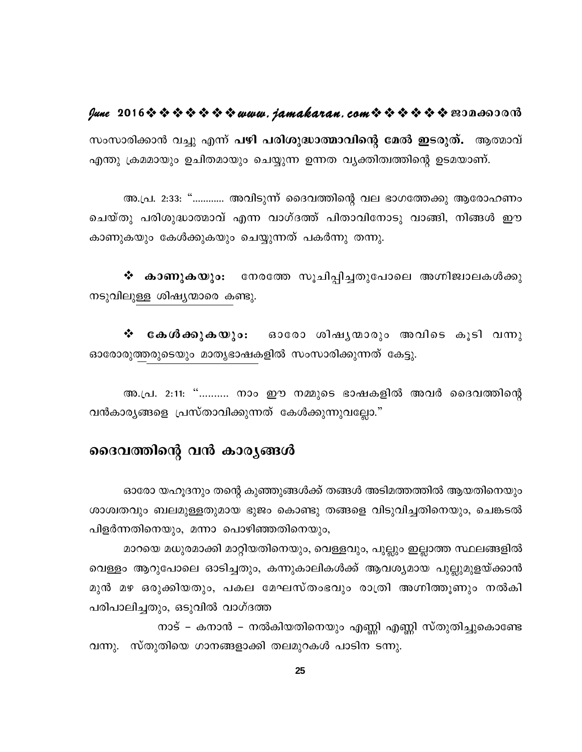### fune 2016 \* \* \* \* \* \* \* www.jamakaran.com \* \* \* \* \* \* \* 2010 0010

സംസാരിക്കാൻ വച്ചു എന്ന് പഴി പരിശുദ്ധാത്മാവിന്റെ മേൽ ഇടരുത്. ആത്മാവ് എന്തു ക്രമമായും ഉചിതമായും ചെയ്യുന്ന ഉന്നത വൃക്തിത്വത്തിന്റെ ഉടമയാണ്.

അ.പ്ര. 2:33: "………… അവിടുന്ന് ദൈവത്തിന്റെ വല ഭാഗത്തേക്കു ആരോഹണം ചെയ്തു പരിശുദ്ധാത്മാവ് എന്ന വാഗ്ദത്ത് പിതാവിനോടു വാങ്ങി, നിങ്ങൾ ഈ കാണുകയും കേൾക്കുകയും ചെയ്യുന്നത് പകർന്നു തന്നു.

❖ കാണുകയും: നേരത്തേ സൂചിപ്പിച്ചതുപോലെ അഗ്നിജ്വാലകൾക്കു നടുവിലുള്ള ശിഷ്യന്മാരെ കണ്ടു.

**കേശീക്കുകയും**: ഓരോ ശിഷൃന്മാരും അവിടെ കൂടി വന്നു ❖ ഓരോരുത്തരുടെയും മാതൃഭാഷകളിൽ സംസാരിക്കുന്നത് കേട്ടു.

അ.പ്ര. 2:11: "………. നാം ഈ നമ്മുടെ ഭാഷകളിൽ അവർ ദൈവത്തിന്റെ വൻകാര്യങ്ങളെ പ്രസ്താവിക്കുന്നത് കേൾക്കുന്നുവല്ലോ."

### ദൈവത്തിന്റെ വൻ കാര്യങ്ങൾ

ഓരോ യഹുദനും തന്റെ കുഞ്ഞുങ്ങൾക്ക് തങ്ങൾ അടിമത്തത്തിൽ ആയതിനെയും ശാശ്വതവും ബലമുള്ളതുമായ ഭുജം കൊണ്ടു തങ്ങളെ വിടുവിച്ചതിനെയും, ചെങ്കടൽ പിളർന്നതിനെയും, മന്നാ പൊഴിഞ്ഞതിനെയും,

മാറയെ മധുരമാക്കി മാറ്റിയതിനെയും, വെള്ളവും, പുല്ലും ഇല്ലാത്ത സ്ഥലങ്ങളിൽ വെള്ളം ആറുപോലെ ഓടിച്ചതും, കന്നുകാലികൾക്ക് ആവശ്യമായ പുല്ലുമുളയ്ക്കാൻ മുൻ മഴ ഒരുക്കിയതും, പകല മേഘസ്തംഭവും രാത്രി അഗ്നിത്തുണും നൽകി പരിപാലിച്ചതും, ഒടുവിൽ വാഗ്ദത്ത

നാട് – കനാൻ – നൽകിയതിനെയും എണ്ണി എണ്ണി സ്തുതിച്ചുകൊണ്ടേ വന്നു. സ്തുതിയെ ഗാനങ്ങളാക്കി തലമുറകൾ പാടിന ടന്നു.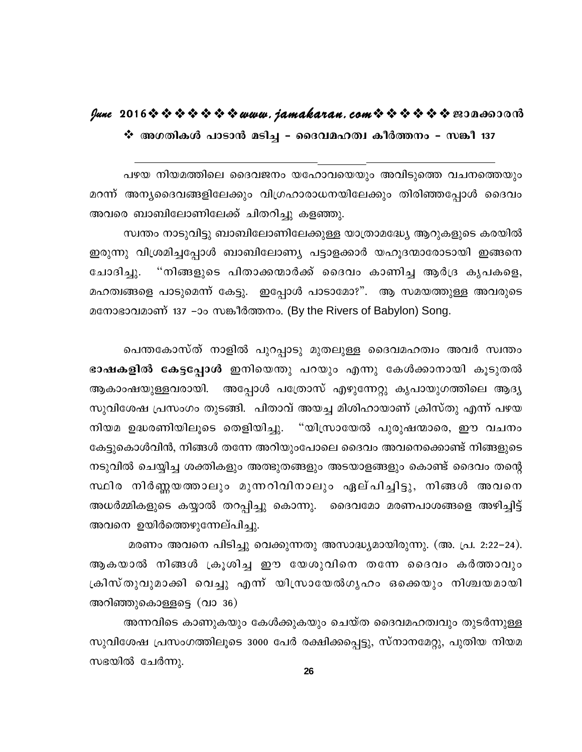### lune 2016 \* \* \* \* \* \* \* www.jamakaran.com \* \* \* \* \* \* \* 2010600010

❖ അഗതികൾ പാടാൻ മടിച്ച - ദൈവമഹത്വ കീർത്തനം - സങ്കീ 137

പഴയ നിയമത്തിലെ ദൈവജനം യഹോവയെയും അവിടുത്തെ വചനത്തെയും മറന്ന് അന്യദൈവങ്ങളിലേക്കും വിഗ്രഹാരാധനയിലേക്കും തിരിഞ്ഞപ്പോൾ ദൈവം അവരെ ബാബിലോണിലേക്ക് ചിതറിച്ചു കളഞ്ഞു.

സ്വന്തം നാടുവിട്ടു ബാബിലോണിലേക്കുള്ള യാത്രാമദ്ധ്യേ ആറുകളുടെ കരയിൽ ഇരുന്നു വിശ്രമിച്ചപ്പോൾ ബാബിലോണ്യ പട്ടാളക്കാർ യഹൂദന്മാരോടായി ഇങ്ങനെ "നിങ്ങളുടെ പിതാക്കന്മാർക്ക് ദൈവം കാണിച്ച ആർദ്ര കൃപകളെ, ചോദിചു. മഹത്വങ്ങളെ പാടുമെന്ന് കേട്ടു. ഇപ്പോൾ പാടാമോ?". ആ സമയത്തുള്ള അവരുടെ മനോഭാവമാണ് 137 −ാം സങ്കീർത്തനം. (By the Rivers of Babylon) Song.

പെന്തകോസ്ത് നാളിൽ പുറപ്പാടു മുതലുള്ള ദൈവമഹത്വം അവർ സ്വന്തം ഭാഷകളിൽ കേട്ടപ്പോൾ ഇനിയെന്തു പറയും എന്നു കേൾക്കാനായി കൂടുതൽ ആകാംഷയുള്ളവരായി. അപ്പോൾ പത്രോസ് എഴുന്നേറ്റു കൃപായുഗത്തിലെ ആദ്യ സുവിശേഷ പ്രസംഗം തുടങ്ങി. പിതാവ് അയച്ച മിശിഹായാണ് ക്രിസ്തു എന്ന് പഴയ നിയമ ഉദ്ധരണിയിലുടെ തെളിയിച്ചു. "യിസ്രായേൽ പുരുഷന്മാരെ, ഈ വചനം കേട്ടുകൊൾവിൻ, നിങ്ങൾ തന്നേ അറിയുംപോലെ ദൈവം അവനെക്കൊണ്ട് നിങ്ങളുടെ നടുവിൽ ചെയ്യിച്ച ശക്തികളും അത്ഭുതങ്ങളും അടയാളങ്ങളും കൊണ്ട് ദൈവം തന്റെ സ്ഥിര നിർണ്ണയത്താലും മുന്നറിവിനാലും ഏല്പിച്ചിട്ടു, നിങ്ങൾ അവനെ അധർമ്മികളുടെ കയ്യാൽ തറപ്പിച്ചു കൊന്നു. ദൈവമോ മരണപാശങ്ങളെ അഴിച്ചിട്ട് അവനെ ഉയിർത്തെഴുന്നേല്പിച്ചു.

മരണം അവനെ പിടിച്ചു വെക്കുന്നതു അസാദ്ധ്യമായിരുന്നു. (അ. പ്ര. 2:22–24). ആകയാൽ നിങ്ങൾ ക്രൂശിച്ച ഈ യേശുവിനെ തന്നേ ദൈവം കർത്താവും ക്രിസ്തുവുമാക്കി വെച്ചു എന്ന് യിസ്രായേൽഗൃഹം ഒക്കെയും നിശ്ചയമായി അറിഞ്ഞുകൊള്ളട്ടെ (വാ 36)

അന്നവിടെ കാണുകയും കേൾക്കുകയും ചെയ്ത ദൈവമഹത്വവും തുടർന്നുള്ള സുവിശേഷ പ്രസംഗത്തിലൂടെ 3000 പേർ രക്ഷിക്കപ്പെട്ടു, സ്നാനമേറ്റു, പുതിയ നിയമ സഭയിൽ ചേർന്നു.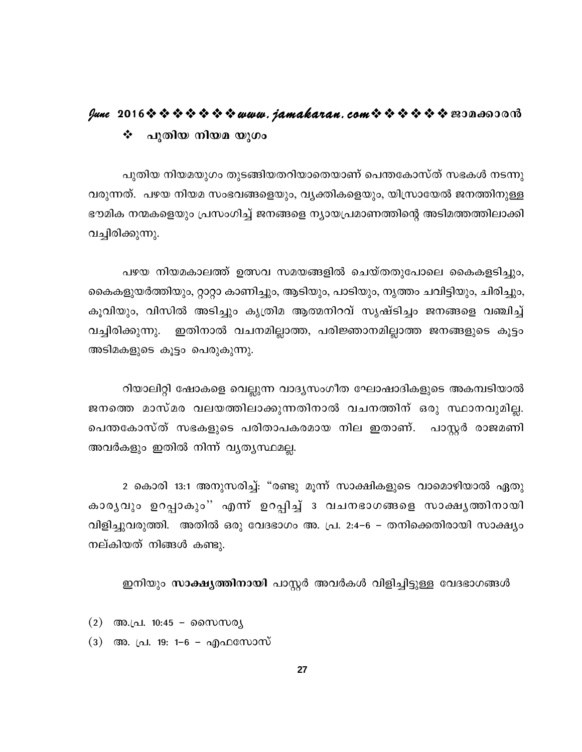### lune 2016 \* \* \* \* \* \* \* www.jamakaran.com \* \* \* \* \* \* \* 2010 0000 ❖ പുതിയ നിയമ യുഗം

പുതിയ നിയമയുഗം തുടങ്ങിയതറിയാതെയാണ് പെന്തകോസ്ത് സഭകൾ നടന്നു വരുന്നത്. പഴയ നിയമ സംഭവങ്ങളെയും, വൃക്തികളെയും, യിസ്രായേൽ ജനത്തിനുള്ള ഭൗമിക നന്മകളെയും പ്രസംഗിച്ച് ജനങ്ങളെ ന്യായപ്രമാണത്തിന്റെ അടിമത്തത്തിലാക്കി വച്ചിരിക്കുന്നു.

പഴയ നിയമകാലത്ത് ഉത്സവ സമയങ്ങളിൽ ചെയ്തതുപോലെ കൈകളടിച്ചും, കൈകളുയർത്തിയും, റ്റാറ്റാ കാണിച്ചും, ആടിയും, പാടിയും, നൃത്തം ചവിട്ടിയും, ചിരിച്ചും, കൂവിയും, വിസിൽ അടിച്ചും കൃത്രിമ ആത്മനിറവ് സൃഷ്ടിച്ചം ജനങ്ങളെ വഞ്ചിച്ച് ഇതിനാൽ വചനമില്ലാത്ത, പരിജ്ഞാനമില്ലാത്ത ജനങ്ങളുടെ കൂട്ടം വച്ചിരിക്കുന്നു. അടിമകളുടെ കൂട്ടം പെരുകുന്നു.

റിയാലിറ്റി ഷോകളെ വെല്ലുന്ന വാദൃസംഗീത ഘോഷാദികളുടെ അകമ്പടിയാൽ ജനത്തെ മാസ്മര വലയത്തിലാക്കുന്നതിനാൽ വചനത്തിന് ഒരു സ്ഥാനവുമില്ല. പെന്തകോസ്ത് സഭകളുടെ പരിതാപകരമായ നില ഇതാണ്. പാസ്റ്റർ രാജമണി അവർകളും ഇതിൽ നിന്ന് വൃതൃസ്ഥമല്ല.

2 കൊരി 13:1 അനുസരിച്ച്: "രണ്ടു മൂന്ന് സാക്ഷികളുടെ വാമൊഴിയാൽ ഏതു കാരൃവും ഉറപ്പാകും'' എന്ന് ഉറപ്പിച്ച് 3 വചനഭാഗങ്ങളെ സാക്ഷൃത്തിനായി വിളിച്ചുവരുത്തി. അതിൽ ഒരു വേദഭാഗം അ. പ്ര. 2:4–6 – തനിക്കെതിരായി സാക്ഷ്യം നല്കിയത് നിങ്ങൾ കണ്ടു.

ഇനിയും സാക്ഷ്യത്തിനായി പാസ്റ്റർ അവർകൾ വിളിച്ചിട്ടുള്ള വേദഭാഗങ്ങൾ

- $(2)$  അ.പ്ര. 10:45 സൈസര്യ
- (3) അ. പ്ര. 19: 1–6 എഫസോസ്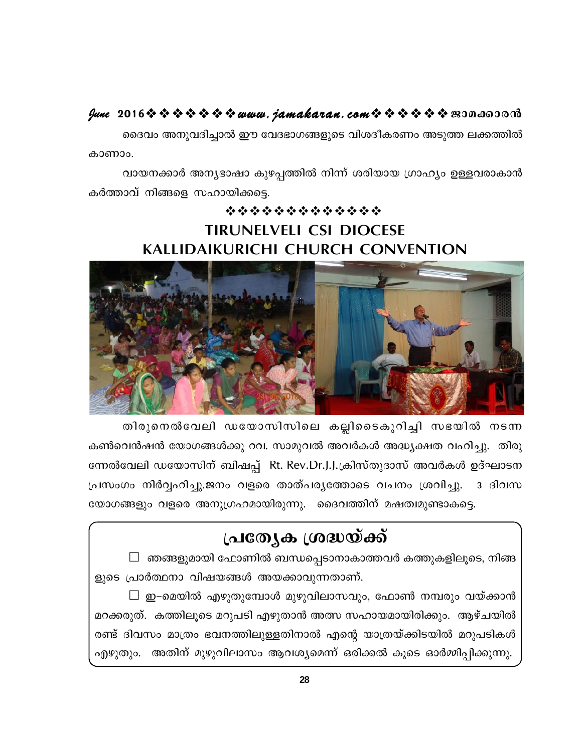### fune 2016 \$ \$ \$ \$ \$ \$ \$ www.jamakaran.com \$ \$ \$ \$ \$ \$ \$ expassion

ദൈവം അനുവദിച്ചാൽ ഈ വേദഭാഗങ്ങളുടെ വിശദീകരണം അടുത്ത ലക്കത്തിൽ കാണാം.

വായനക്കാർ അന്യഭാഷാ കുഴപ്പത്തിൽ നിന്ന് ശരിയായ ഗ്രാഹ്യം ഉള്ളവരാകാൻ കർത്താവ് നിങ്ങളെ സഹായിക്കട്ടെ.

# \*\*\*\*\*\*\*\*\*\*\*\*\* **TIRUNELVELI CSI DIOCESE KALLIDAIKURICHI CHURCH CONVENTION**



തിരുനെൽവേലി ഡയോസിസിലെ കല്ലിടൈകുറിച്ചി സഭയിൽ നടന്ന കൺവെൻഷൻ യോഗങ്ങൾക്കു റവ. സാമുവൽ അവർകൾ അദ്ധ്യക്ഷത വഹിച്ചു. തിരു ന്നേൽവേലി ഡയോസിന് ബിഷപ്പ് Rt. Rev.Dr.J.J.ക്രിസ്തുദാസ് അവർകൾ ഉദ്ഘാടന പ്രസംഗം നിർവ്വഹിച്ചു.ജനം വളരെ താത്പര്യത്തോടെ വചനം ശ്രവിച്ചു. ദ ദിവസ യോഗങ്ങളും വളരെ അനുഗ്രഹമായിരുന്നു. ദൈവത്തിന് മഷത്വമുണ്ടാകട്ടെ.

# പ്രത്യേക ശ്രദ്ധയ്ക്ക്

 $\Box$  ഞങ്ങളുമായി ഫോണിൽ ബന്ധപ്പെടാനാകാത്തവർ കത്തുകളിലൂടെ, നിങ്ങ ളുടെ പ്രാർത്ഥനാ വിഷയങ്ങൾ അയക്കാവുന്നതാണ്.

 $\Box$  ഇ–മെയിൽ എഴുതുമ്പോൾ മുഴുവിലാസവും, ഫോൺ നമ്പരും വയ്ക്കാൻ മറക്കരുത്. കത്തിലൂടെ മറുപടി എഴുതാൻ അത്സ സഹായമായിരിക്കും. ആഴ്ചയിൽ രണ്ട് ദിവസം മാത്രം ഭവനത്തിലുള്ളതിനാൽ എന്റെ യാത്രയ്ക്കിടയിൽ മറുപടികൾ എഴുതും. അതിന് മുഴുവിലാസം ആവശ്യമെന്ന് ഒരിക്കൽ കൂടെ ഓർമ്മിപ്പിക്കുന്നു.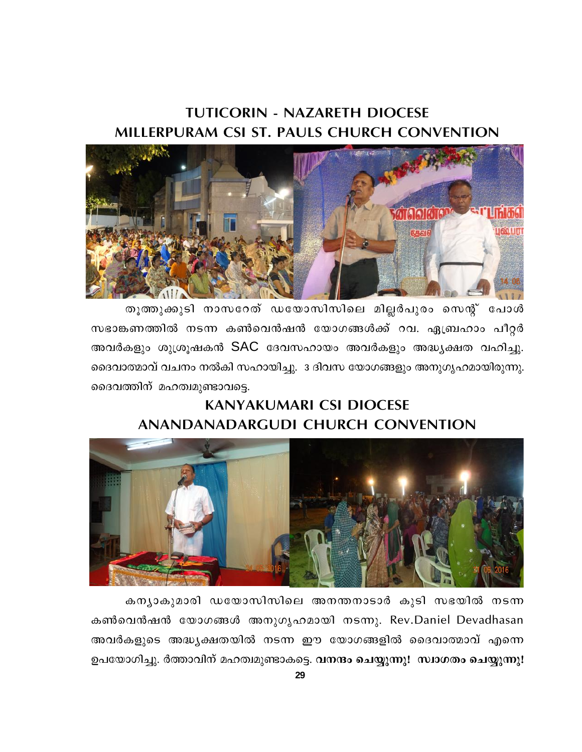# **TUTICORIN - NAZARETH DIOCESE** MILLERPURAM CSI ST. PAULS CHURCH CONVENTION



തൂത്തുക്കുടി നാസറേത് ഡയോസിസിലെ മില്ലർപുരം സെന്റ് പോൾ സഭാങ്കണത്തിൽ നടന്ന കൺവെൻഷൻ യോഗങ്ങൾക്ക് റവ. ഏബ്രഹാം പീറ്റർ അവർകളും ശുശ്രൂഷകൻ SAC ദേവസഹായം അവർകളും അദ്ധ്യക്ഷത വഹിച്ചു. ദൈവാത്മാവ് വചനം നൽകി സഹായിച്ചു. 3 ദിവസ യോഗങ്ങളും അനുഗൃഹമായിരുന്നു. ദൈവത്തിന് മഹത്വമുണ്ടാവട്ടെ.

# **KANYAKUMARI CSI DIOCESE** ANANDANADARGUDI CHURCH CONVENTION



കന്യാകുമാരി ഡയോസിസിലെ അനന്തനാടാർ കൂടി സഭയിൽ നടന്ന കൺവെൻഷൻ യോഗങ്ങൾ അനുഗൃഹമായി നടന്നു. Rev.Daniel Devadhasan അവർകളുടെ അദ്ധ്യക്ഷതയിൽ നടന്ന ഈ യോഗങ്ങളിൽ ദൈവാത്മാവ് എന്നെ ഉപയോഗിച്ചു. ർത്താവിന് മഹത്വമുണ്ടാകട്ടെ. വനന്ദം ചെയ്യുന്നു! സ്വാഗതം ചെയ്യുന്നു!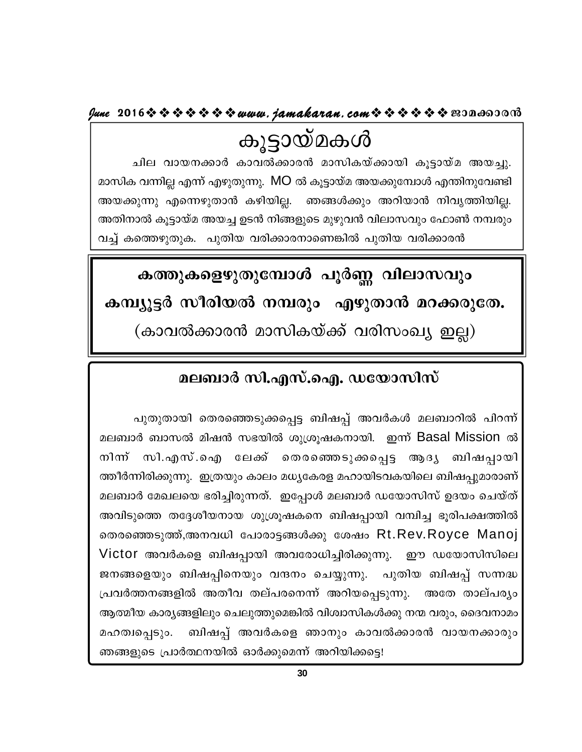**June 2016www.jamakaran.comPma¡mc³**

കൂട്ടായ്മകൾ<br>ചില വായനക്കാർ കാവൽക്കാരൻ മാസികയ്ക്കായി കൂട്ടായ്മ അയച്ചു. Nne hmb\¡mÀ Imh¡mc³ amknIb v¡mbn Iq«mb va Ab¨p. മാസിക വന്നില്ല എന്ന് എഴുതുന്നു. MO ൽ കൂട്ടായ്മ അയക്കുമ്പോൾ എന്തിനുവേണ്ടി അയക്കുന്നു എന്നെഴുതാൻ കഴിയില്ല. ഞങ്ങൾക്കും അറിയാൻ നിവൃത്തിയില്ല. അതിനാൽ കൂട്ടായ്മ അയച്ച ഉടൻ നിങ്ങളുടെ മുഴുവൻ വിലാസവും ഫോൺ നമ്പരും വച്ച് കത്തെഴുതുക. പുതിയ വരിക്കാരനാണെങ്കിൽ പുതിയ വരിക്കാരൻ

# കത്തുകളെഴുതുമ്പോൾ പൂർണ്ണ വിലാസവും

കമ്പ്യൂട്ടർ സീരിയൽ നമ്പരും എഴുതാൻ മറക്കരുതേ.

(കാവൽക്കാരൻ മാസികയ്ക്ക് വരിസംഖ്യ ഇല്ല)

# **മലബാർ സി.എസ്.ഐ. ഡയോസിസ്**

]pXpXmbn sXcsªSp¡s¸« \_nj¸v AhÀIÄ ae\_mdn ]nd¶ v മലബാർ ബാസൽ മിഷൻ സഭയിൽ ശുശ്രൂഷകനായി. ഇന്ന് Basal Mission ൽ പുതുതായി തെരഞ്ഞെടുക്കപ്പെട്ട ബിഷപ്പ് അവർകൾ മലബാറിൽ പിറന്ന്<br>മലബാർ ബാസൽ മിഷൻ സഭയിൽ ശുശ്രൂഷകനായി. ഇന്ന് Basal Mission ൽ<br>നിന്ന് സി.എസ്.ഐ ലേക്ക് തെരഞ്ഞെടുക്കപ്പെട്ട ആദ്യ ബിഷപ്പായി ത്തീർന്നിരിക്കുന്നു. ഇത്രയും കാലം മധ്യകേരള മഹായിടവകയിലെ ബിഷപ്പുമാരാണ് മലബാർ മേഖലയെ ഭരിച്ചിരുന്നത്. ഇപ്പോൾ മലബാർ ഡയോസിസ് ഉദയം ചെയ്ത് അവിടുത്തെ തദ്ദേശീയനായ ശുശ്രൂഷകനെ ബിഷപ്പായി വമ്പിച്ച ഭൂരിപക്ഷത്തിൽ തെരഞ്ഞെടുത്ത്,അനവധി പോരാട്ടങ്ങൾക്കു ശേഷം  $\mathsf{Rt}.\mathsf{Rev}.\mathsf{Royce}$   $\mathsf{Manoj}$   $\vert$ Victor അവർകളെ ബിഷപ്പായി അവരോധിച്ചിരിക്കുന്നു. ഈ ഡയോസിസിലെ അവിടുത്തെ തദ്ദേശീയനായ ശുശ്രൂഷകനെ ബിഷപ്പായി വമ്പിച്ച ഭൂരിപക്ഷത്തിൽ<br>തെരഞ്ഞെടുത്ത്,അനവധി പോരാട്ടങ്ങൾക്കു ശേഷം Rt.Rev.Royce Manoj<br>Victor അവർകളെ ബിഷപ്പായി അവരോധിച്ചിരിക്കുന്നു. ഈ ഡയോസിസിലെ<br>ജനങ്ങളെയും ബിഷപ്പിനെയും വന്ദനം ചെയ്യ തെരഞ്ഞെടുത്ത്,അനവധി പോരാട്ടങ്ങൾക്കു ശേഷം Rt.Rev.Royce Manoj<br>Victor അവർകളെ ബിഷപ്പായി അവരോധിച്ചിരിക്കുന്നു. ഈ ഡയോസിസിലെ<br>ജനങ്ങളെയും ബിഷപ്പിനെയും വന്ദനം ചെയ്യുന്നു. പുതിയ ബിഷപ്പ് സന്നദ്ധ<br>പ്രവർത്തനങ്ങളിൽ അതീവ തല്പരനെന്ന് അറി ആത്മീയ കാര്യങ്ങളിലും ചെലുത്തുമെങ്കിൽ വിശ്വാസികൾക്കു നന്മ വരും, ദൈവനാമം ജനങ്ങളെയും ബിഷപ്പിനെയും വന്ദനം ചെയ്യുന്നു. പുതിയ ബിഷപ്പ് സന്നദ്ധ<br>പ്രവർത്തനങ്ങളിൽ അതീവ തല്പരനെന്ന് അറിയപ്പെടുന്നു. അതേ താല്പര്യം<br>ആത്മീയകാര്യങ്ങളിലും ചെലുത്തുമെങ്കിൽ വിശ്വാസികൾക്കു നന്മ വരും, ദൈവനാമം<br>മഹത്വപ്പെടും. ബിഷപ്പ ഞങ്ങളുടെ പ്രാർത്ഥനയിൽ ഓർക്കുമെന്ന് അറിയിക്കട്ടെ!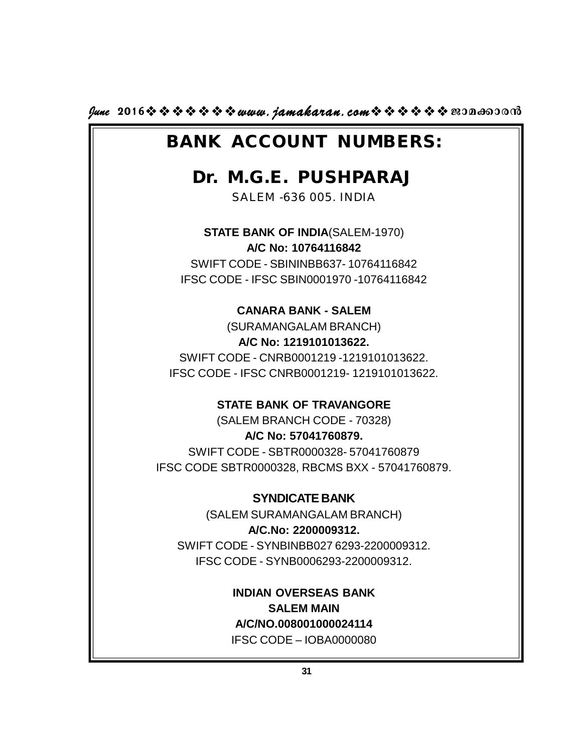$\mu$ une 2016 $\hat{\mathbf{v}} \cdot \hat{\mathbf{v}} \cdot \hat{\mathbf{v}} \cdot \hat{\mathbf{v}}$   $\hat{\mathbf{v}}$  www.*jamakaran.com* $\hat{\mathbf{v}} \cdot \hat{\mathbf{v}} \cdot \hat{\mathbf{v}} \cdot \hat{\mathbf{v}}$   $\hat{\mathbf{v}}$   $\hat{\mathbf{v}}$   $\hat{\mathbf{v}}$   $\hat{\mathbf{v}}$   $\hat{\mathbf{v}}$   $\hat{\mathbf{v}}$   $\hat{\mathbf{v}}$   $\hat{\mathbf{v}}$ 

# **BANK ACCOUNT NUMBERS:**

# **Dr. M.G.E. PUSHPARAJ**

SALEM -636 005. INDIA

**STATE BANK OF INDIA**(SALEM-1970) **A/C No: 10764116842**

SWIFT CODE - SBININBB637- 10764116842 IFSC CODE - IFSC SBIN0001970 -10764116842

### **CANARA BANK - SALEM**

(SURAMANGALAM BRANCH) **A/C No: 1219101013622.** SWIFT CODE - CNRB0001219 -1219101013622. IFSC CODE - IFSC CNRB0001219- 1219101013622.

### **STATE BANK OF TRAVANGORE**

(SALEM BRANCH CODE - 70328) **A/C No: 57041760879.** SWIFT CODE - SBTR0000328- 57041760879 IFSC CODE SBTR0000328, RBCMS BXX - 57041760879.

**SYNDICATE BANK** (SALEM SURAMANGALAM BRANCH) **A/C.No: 2200009312.** SWIFT CODE - SYNBINBB027 6293-2200009312. IFSC CODE - SYNB0006293-2200009312.

> **INDIAN OVERSEAS BANK SALEM MAIN A/C/NO.008001000024114**

IFSC CODE – IOBA0000080